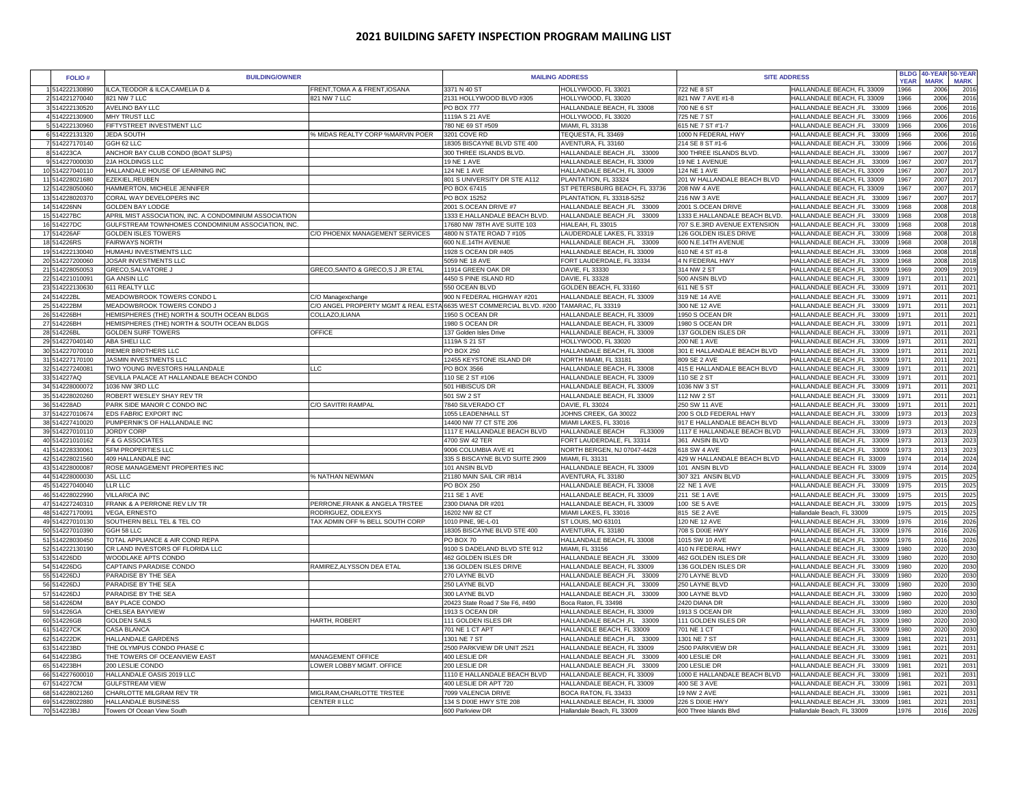| <b>FOLIO#</b>                     | <b>BUILDING/OWNER</b>                                                                    |                                                                    | <b>MAILING ADDRESS</b>                                |                                                          | <b>SITE ADDRESS</b>                          |                                                                              |              | BLDG 40-YEAR 50-YEAR<br><b>YEAR</b><br><b>MARK</b> |                     |  |
|-----------------------------------|------------------------------------------------------------------------------------------|--------------------------------------------------------------------|-------------------------------------------------------|----------------------------------------------------------|----------------------------------------------|------------------------------------------------------------------------------|--------------|----------------------------------------------------|---------------------|--|
| 514222130890                      | ILCA.TEODOR & ILCA.CAMELIA D &                                                           | FRENT, TOMA A & FRENT, IOSANA                                      | 3371 N 40 ST                                          | HOLLYWOOD, FL 33021                                      | 722 NE 8 ST                                  | HALLANDALE BEACH, FL 33009                                                   | 1966         | 2006                                               | <b>MARK</b><br>2016 |  |
| 514221270040                      | 821 NW 7 LLC                                                                             | 821 NW 7 LLC                                                       | 2131 HOLLYWOOD BLVD #305                              | HOLLYWOOD, FL 33020                                      | 821 NW 7 AVE #1-8                            | HALLANDALE BEACH, FL 33009                                                   | 1966         | 2006                                               | 2016                |  |
| 3514222130520                     | <b>AVELINO BAY LLC</b>                                                                   |                                                                    | $PO$ BOX 777                                          | HALLANDALE BEACH, FL 33008                               | 700 NE 6 ST                                  | <b>HALLANDALE BEACH, FL</b><br>33009                                         | 1966         | 2006                                               | 2016                |  |
| 514222130900                      | <b>MHY TRUST LLC</b>                                                                     |                                                                    | 1119A S 21 AVE                                        | HOLLYWOOD, FL 33020                                      | 725 NE 7 ST                                  | 33009<br><b>HALLANDALE BEACH, FL</b>                                         | 1966         | 2006                                               | 2016                |  |
| 514222130960                      | FIFTYSTREET INVESTMENT LLC                                                               |                                                                    | 780 NE 69 ST #509                                     | MIAMI, FL 33138                                          | 615 NE 7 ST #'1-7                            | <b>HALLANDALE BEACH, FL</b><br>33009                                         | 1966         | 2006                                               | 2016                |  |
| 6514222131320                     | <b>JEDA SOUTH</b>                                                                        | % MIDAS REALTY CORP %MARVIN POER                                   | 3201 COVE RD                                          | TEQUESTA, FL 33469                                       | 1000 N FEDERAL HWY                           | 33009<br><b>HALLANDALE BEACH, FL</b>                                         | 1966         | 2006                                               | 2016                |  |
| 514227170140                      | GGH 62 LLC                                                                               |                                                                    | 18305 BISCAYNE BLVD STE 400                           | AVENTURA, FL 33160                                       | 214 SE 8 ST #1-6                             | HALLANDALE BEACH, FL<br>33009                                                | 1966         | 2006                                               | 2016                |  |
| 8514223CA                         | <b>ANCHOR BAY CLUB CONDO (BOAT SLIPS)</b>                                                |                                                                    | 300 THREE ISLANDS BLVD.                               | HALLANDALE BEACH, FL 33009                               | 300 THREE ISLANDS BLVD.                      | <b>HALLANDALE BEACH, FL</b><br>33009                                         | 1967<br>1967 | 2007<br>2007                                       | 2017                |  |
| 9514227000030<br>0514227040110    | <b>2JA HOLDINGS LLC</b><br>HALLANDALE HOUSE OF LEARNING INC                              |                                                                    | 19 NE 1 AVE<br>124 NE 1 AVE                           | HALLANDALE BEACH, FL 33009<br>HALLANDALE BEACH, FL 33009 | 19 NE 1 AVENUE<br>124 NE 1 AVE               | HALLANDALE BEACH, FL 33009<br>HALLANDALE BEACH, FL 33009                     | 1967         | 2007                                               | 2017<br>2017        |  |
| 1514228021680                     | <b>EZEKIEL, REUBEN</b>                                                                   |                                                                    | 801 S UNIVERSITY DR STE A112                          | PLANTATION, FL 33324                                     | 201 W HALLANDALE BEACH BLVD                  | HALLANDALE BEACH, FL 33009                                                   | 967          | 2007                                               | 2017                |  |
| 12514228050060                    | HAMMERTON, MICHELE JENNIFER                                                              |                                                                    | PO BOX 67415                                          | ST PETERSBURG BEACH, FL 33736                            | 208 NW 4 AVE                                 | HALLANDALE BEACH, FL 33009                                                   | 1967         | 2007                                               | 2017                |  |
| 3514228020370                     | CORAL WAY DEVELOPERS INC                                                                 |                                                                    | PO BOX 15252                                          | PLANTATION, FL 33318-5252                                | 216 NW 3 AVE                                 | HALLANDALE BEACH, FL<br>33009                                                | 1967         | 2007                                               | 2017                |  |
| 4514226NN                         | <b>GOLDEN BAY LODGE</b>                                                                  |                                                                    | 2001 S.OCEAN DRIVE #7                                 | HALLANDALE BEACH, FL 33009                               | 2001 S.OCEAN DRIVE                           | HALLANDALE BEACH, FL<br>33009                                                | 1968         | 2008                                               | 2018                |  |
| 15514227BC                        | APRIL MIST ASSOCIATION, INC. A CONDOMINIUM ASSOCIATION                                   |                                                                    | 1333 E.HALLANDALE BEACH BLVD                          | HALLANDALE BEACH, FL 33009                               | 1333 E.HALLANDALE BEACH BLVD                 | <b>HALLANDALE BEACH, FL</b><br>33009                                         | 1968         | 2008                                               | 2018                |  |
| 16514227DC                        | <b>GULFSTREAM TOWNHOMES CONDOMINIUM ASSOCIATION, INC</b>                                 |                                                                    | 17680 NW 78TH AVE SUITE 103                           | HIALEAH, FL 33015                                        | 707 S.E.3RD AVENUE EXTENSION                 | <b>HALLANDALE BEACH, FL</b><br>33009                                         | 1968         | 2008                                               | 2018                |  |
| 17514226AF                        | <b>GOLDEN ISLES TOWERS</b>                                                               | C/O PHOENIX MANAGEMENT SERVICES                                    | 4800 N STATE ROAD 7 #105                              | LAUDERDALE LAKES, FL 33319                               | 126 GOLDEN ISLES DRIVE                       | 33009<br><b>HALLANDALE BEACH, FL</b>                                         | 1968         | 2008                                               | 2018                |  |
| 8514226RS                         | <b>FAIRWAYS NORTH</b>                                                                    |                                                                    | 600 N.E.14TH AVENUE                                   | HALLANDALE BEACH, FL 33009                               | 600 N.E.14TH AVENUE                          | <b>HALLANDALE BEACH, FL</b><br>33009                                         | 1968         | 2008                                               | 2018                |  |
| 9514222130040                     | HUMAHU INVESTMENTS LLC                                                                   |                                                                    | 1928 S OCEAN DR #405                                  | HALLANDALE BEACH, FL 33009                               | 610 NE 4 ST #1-8                             | HALLANDALE BEACH, FL<br>33009                                                | 1968         | 2008                                               | 2018                |  |
| 20 51422720006<br>21 514228050053 | JOSAR INVESTMENTS LLC<br><b>GRECO, SALVATORE J</b>                                       | <b>GRECO,SANTO &amp; GRECO,S J JR ETAL</b>                         | 5059 NE 18 AVE<br>11914 GREEN OAK DR                  | FORT LAUDERDALE, FL 33334<br>DAVIE, FL 33330             | 4 N FEDERAL HWY<br>314 NW 2 ST               | <b>HALLANDALE BEACH, FL</b><br>33009<br><b>HALLANDALE BEACH, FL</b><br>33009 | 1968<br>1969 | 2008<br>2009                                       | 2018<br>2019        |  |
| 22 514221010091                   | <b>GA ANSIN LLC</b>                                                                      |                                                                    | 4450 S PINE ISLAND RD                                 | DAVIE, FL 33328                                          | 500 ANSIN BLVD                               | <b>HALLANDALE BEACH, FL</b><br>33009                                         | 1971         | 2011                                               | 2021                |  |
| 23514222130630                    | 611 REALTY LLC                                                                           |                                                                    | 550 OCEAN BLVD                                        | GOLDEN BEACH, FL 33160                                   | 611 NE 5 ST                                  | <b>HALLANDALE BEACH, FL</b><br>33009                                         | 1971         | 2011                                               | 2021                |  |
| 24 514222BL                       | MEADOWBROOK TOWERS CONDO L                                                               | C/O Managexchange                                                  | 900 N FEDERAL HIGHWAY #201                            | HALLANDALE BEACH, FL 33009                               | 319 NE 14 AVE                                | 33009<br><b>HALLANDALE BEACH, FL</b>                                         | 1971         | 2011                                               | 2021                |  |
| 255514222BM                       | MEADOWBROOK TOWERS CONDO J                                                               | C/O ANGEL PROPERTY MGMT & REAL ESTA 6635 WEST COMMERCIAL BLVD. #20 |                                                       | TAMARAC, FL 33319                                        | 300 NE 12 AVE                                | HALLANDALE BEACH, FL<br>33009                                                | 971          | 2011                                               | 2021                |  |
| 26 514226BH                       | HEMISPHERES (THE) NORTH & SOUTH OCEAN BLDGS                                              | COLLAZO, ILIANA                                                    | 1950 S OCEAN DR                                       | HALLANDALE BEACH, FL 33009                               | 1950 S OCEAN DR                              | HALLANDALE BEACH, FL<br>33009                                                | 1971         | 2011                                               | 2021                |  |
| 27 514226BH                       | HEMISPHERES (THE) NORTH & SOUTH OCEAN BLDGS                                              |                                                                    | 1980 S OCEAN DR                                       | HALLANDALE BEACH, FL 33009                               | 1980 S OCEAN DR                              | <b>HALLANDALE BEACH, FL</b><br>33009                                         | 1971         | 2011                                               | 2021                |  |
| 28 514226BL                       | <b>GOLDEN SURF TOWERS</b>                                                                | <b>OFFICE</b>                                                      | 137 Golden Isles Drive                                | HALLANDALE BEACH, FL 33009                               | 137 GOLDEN ISLES DR                          | HALLANDALE BEACH, FL<br>33009                                                | 1971         | 2011                                               | 2021                |  |
| 29514227040140                    | <b>ABA SHELILLC</b>                                                                      |                                                                    | 1119A S 21 ST                                         | HOLLYWOOD, FL 33020                                      | 200 NE 1 AVE                                 | <b>HALLANDALE BEACH, FL</b><br>33009                                         | 1971         | 2011                                               | 2021                |  |
| 30 514227070010                   | <b>RIEMER BROTHERS LLC</b>                                                               |                                                                    | $PO$ BOX 250                                          | HALLANDALE BEACH, FL 33008                               | 301 E HALLANDALE BEACH BLVD                  | <b>HALLANDALE BEACH, FL</b><br>33009                                         | 1971         | 2011                                               | 2021                |  |
| 31 514227170100                   | JASMIN INVESTMENTS LLC                                                                   |                                                                    | 12455 KEYSTONE ISLAND DR                              | NORTH MIAMI, FL 33181                                    | 809 SE 2 AVE                                 | <b>HALLANDALE BEACH, FL</b><br>33009                                         | 1971         | 2011                                               | 2021                |  |
| 32 51422724008<br>33 514227AQ     | <b>TWO YOUNG INVESTORS HALLANDALE</b><br><b>SEVILLA PALACE AT HALLANDALE BEACH CONDO</b> | LLC                                                                | PO BOX 3566                                           | HALLANDALE BEACH, FL 33008                               | 415 E HALLANDALE BEACH BLVD                  | <b>HALLANDALE BEACH, FL</b><br>33009                                         | 1971         | 2011<br>2011                                       | 2021                |  |
| 34 514228000072                   | 1036 NW 3RD LLC                                                                          |                                                                    | 110 SE 2 ST #106<br>501 HIBISCUS DR                   | HALLANDALE BEACH, FL 33009<br>HALLANDALE BEACH, FL 33009 | 110 SE 2 ST<br>1036 NW 3 ST                  | HALLANDALE BEACH, FL<br>33009<br>HALLANDALE BEACH, FL<br>33009               | 1971<br>1971 | 2011                                               | 2021<br>2021        |  |
| 355514228020260                   | <b>ROBERT WESLEY SHAY REV TR</b>                                                         |                                                                    | 501 SW 2 ST                                           | HALLANDALE BEACH, FL 33009                               | 112 NW 2 ST                                  | 33009<br>HALLANDALE BEACH, FL                                                | 1971         | 2011                                               | 2021                |  |
| 36514228AD                        | <b>PARK SIDE MANOR C CONDO INC</b>                                                       | C/O SAVITRI RAMPAL                                                 | 7840 SILVERADO CT                                     | DAVIE, FL 33024                                          | 250 SW 11 AVE                                | HALLANDALE BEACH, FL<br>33009                                                | 1971         | 2011                                               | 2021                |  |
| 37 514227010674                   | <b>EDS FABRIC EXPORT INC</b>                                                             |                                                                    | 1055 LEADENHALL ST                                    | JOHNS CREEK, GA 30022                                    | 200 S OLD FEDERAL HWY                        | HALLANDALE BEACH, FL<br>33009                                                | 1973         | 2013                                               | 2023                |  |
| 38514227410020                    | PUMPERNIK'S OF HALLANDALE INC                                                            |                                                                    | 14400 NW 77 CT STE 206                                | MIAMI LAKES, FL 33016                                    | 917 E HALLANDALE BEACH BLVD                  | HALLANDALE BEACH, FL<br>33009                                                | 1973         | 2013                                               | 2023                |  |
| 39514227010110                    | JORDY CORP                                                                               |                                                                    | 1117 E HALLANDALE BEACH BLVD                          | FL33009<br>HALLANDALE BEACH                              | 1117 E HALLANDALE BEACH BLVD                 | <b>HALLANDALE BEACH, FL</b><br>33009                                         | 1973         | 2013                                               | 2023                |  |
| 40514221010162                    | <b>F &amp; G ASSOCIATES</b>                                                              |                                                                    | 4700 SW 42 TER                                        | FORT LAUDERDALE, FL 33314                                | 361 ANSIN BLVD                               | HALLANDALE BEACH, FL 33009                                                   | 1973         | 2013                                               | 2023                |  |
| 1151422833006                     | <b>SFM PROPERTIES LLC</b>                                                                |                                                                    | 9006 COLUMBIA AVE #1                                  | NORTH BERGEN, NJ 07047-4428                              | 618 SW 4 AVE                                 | 33009<br>HALLANDALE BEACH, FL                                                | 1973         | 2013                                               | 2023                |  |
| 2514228021560                     | 409 HALLANDALE INC                                                                       |                                                                    | 335 S BISCAYNE BLVD SUITE 2909                        | MIAMI, FL 33131                                          | 429 W HALLANDALE BEACH BLVD                  | HALLANDALE BEACH FL 33009                                                    | 974          | 2014                                               | 2024                |  |
| 43514228000087                    | <b>ROSE MANAGEMENT PROPERTIES INC</b>                                                    |                                                                    | 101 ANSIN BLVD                                        | HALLANDALE BEACH, FL 33009                               | 101 ANSIN BLVD                               | HALLANDALE BEACH FL 33009                                                    | 1974         | 2014                                               | 2024                |  |
| 44514228000030<br>5514227040040   | <b>ASL LLC</b><br>LLR LLC                                                                | % NATHAN NEWMAN                                                    | 21180 MAIN SAIL CIR #B14<br><b>PO BOX 250</b>         | AVENTURA, FL 33180<br>HALLANDALE BEACH, FL 33008         | 307 321 ANSIN BLVD<br><b>22 NE 1 AVE</b>     | HALLANDALE BEACH, FL 33009<br>HALLANDALE BEACH, FL 33009                     | 1975<br>1975 | 2015<br>2015                                       | 2025<br>2025        |  |
| 46514228022990                    | <b>VILLARICA INC</b>                                                                     |                                                                    | 211 SE 1 AVE                                          | HALLANDALE BEACH, FL 33009                               | 211 SE 1 AVE                                 | <b>HALLANDALE BEACH, FL</b><br>33009                                         | 1975         | 2015                                               | 2025                |  |
| 7514227240310                     | <b>FRANK &amp; A PERRONE REV LIV TR</b>                                                  | PERRONE, FRANK & ANGELA TRSTEE                                     | 2300 DIANA DR #201                                    | HALLANDALE BEACH, FL 33009                               | 100 SE 5 AVE                                 | HALLANDALE BEACH, FL<br>33009                                                | 975          | 2015                                               | 2025                |  |
| 48 514227170091                   | VEGA, ERNESTO                                                                            | RODRIGUEZ, ODILEXYS                                                | 16202 NW 82 CT                                        | MIAMI LAKES, FL 33016                                    | 815 SE 2 AVE                                 | Hallandale Beach, FL 33009                                                   | 1975         | 2015                                               | 2025                |  |
| 49 514227010130                   | SOUTHERN BELL TEL & TEL CO                                                               | TAX ADMIN OFF % BELL SOUTH CORP                                    | 1010 PINE, 9E-L-01                                    | ST LOUIS, MO 63101                                       | 120 NE 12 AVE                                | <b>HALLANDALE BEACH, FL</b><br>33009                                         | 1976         | 2016                                               | 2026                |  |
| 50 514227010390                   | GGH 58 LLC                                                                               |                                                                    | 18305 BISCAYNE BLVD STE 400                           | AVENTURA, FL 33180                                       | 708 S DIXIE HWY                              | 33009<br>HALLANDALE BEACH, FL                                                | 1976         | 2016                                               | 2026                |  |
| 51 514228030450                   | <b>TOTAL APPLIANCE &amp; AIR COND REPA</b>                                               |                                                                    | PO BOX 70                                             | HALLANDALE BEACH, FL 33008                               | 1015 SW 10 AVE                               | <b>HALLANDALE BEACH, FL</b><br>33009                                         | 1976         | 2016                                               | 2026                |  |
| 52 514222130190                   | CR LAND INVESTORS OF FLORIDA LLC                                                         |                                                                    | 9100 S DADELAND BLVD STE 912                          | MIAMI, FL 33156                                          | 410 N FEDERAL HWY                            | HALLANDALE BEACH, FL<br>33009                                                | 1980         | 2020                                               | 2030                |  |
| 53 514226DD                       | <b>WOODLAKE APTS CONDO</b>                                                               |                                                                    | 462 GOLDEN ISLES DR                                   | HALLANDALE BEACH, FL 33009                               | 462 GOLDEN ISLES DR                          | HALLANDALE BEACH, FL<br>33009                                                | 1980         | 2020                                               | 2030                |  |
| 54 514226DG                       | <b>CAPTAINS PARADISE CONDO</b><br><b>PARADISE BY THE SEA</b>                             | RAMIREZ, ALYSSON DEA ETAL                                          | 136 GOLDEN ISLES DRIVE<br>270 LAYNE BLVD              | HALLANDALE BEACH, FL 33009<br>HALLANDALE BEACH, FL 33009 | 136 GOLDEN ISLES DR<br>270 LAYNE BLVD        | HALLANDALE BEACH, FL<br>33009<br>33009<br><b>HALLANDALE BEACH, FL</b>        | 1980<br>1980 | 2020<br>2020                                       | 2030<br>2030        |  |
| 55 514226DJ<br>56 514226DJ        | <b>PARADISE BY THE SEA</b>                                                               |                                                                    | 250 LAYNE BLVD                                        | HALLANDALE BEACH, FL 33009                               | 250 LAYNE BLVD                               | <b>HALLANDALE BEACH, FL</b><br>33009                                         | 1980         | 2020                                               | 2030                |  |
| 57 514226DJ                       | <b>PARADISE BY THE SEA</b>                                                               |                                                                    | 300 LAYNE BLVD                                        | HALLANDALE BEACH, FL 33009                               | 300 LAYNE BLVD                               | HALLANDALE BEACH, FL<br>33009                                                | 1980         | 2020                                               | 2030                |  |
| 58 514226DM                       | <b>BAY PLACE CONDO</b>                                                                   |                                                                    | 20423 State Road 7 Ste F6, #490                       | Boca Raton, FL 33498                                     | 2420 DIANA DR                                | <b>HALLANDALE BEACH, FL</b><br>33009                                         | 1980         | 2020                                               | 2030                |  |
| 59 514226GA                       | <b>CHELSEA BAYVIEW</b>                                                                   |                                                                    | 1913 S OCEAN DR                                       | HALLANDALE BEACH, FL 33009                               | 1913 S OCEAN DR                              | 33009<br>HALLANDALE BEACH, FL                                                | 1980         | 2020                                               | 2030                |  |
| 60 514226GB                       | <b>GOLDEN SAILS</b>                                                                      | HARTH, ROBERT                                                      | 111 GOLDEN ISLES DR                                   | HALLANDALE BEACH, FL 33009                               | 111 GOLDEN ISLES DR                          | HALLANDALE BEACH, FL<br>33009                                                | 1980         | 2020                                               | 2030                |  |
| 61 514227CK                       | CASA BLANCA                                                                              |                                                                    | 701 NE 1 CT APT                                       | HALLANDLE BEACH, FL 33009                                | 701 NE 1 CT                                  | HALLANDALE BEACH, FL 33009                                                   | 1980         | 2020                                               | 2030                |  |
| 62 514222DK                       | <b>HALLANDALE GARDENS</b>                                                                |                                                                    | 1301 NE 7 ST                                          | HALLANDALE BEACH, FL 33009                               | 1301 NE 7 ST                                 | HALLANDALE BEACH, FL 33009                                                   | 1981         | 2021                                               | 2031                |  |
| 63 514223BD                       | THE OLYMPUS CONDO PHASE C                                                                |                                                                    | 2500 PARKVIEW DR UNIT 2521                            | HALLANDALE BEACH, FL 33009                               | 2500 PARKVIEW DR                             | HALLANDALE BEACH, FL 33009                                                   | 1981         | 2021                                               | 2031                |  |
| 64 514223BG                       | THE TOWERS OF OCEANVIEW EAST                                                             | MANAGEMENT OFFICE                                                  | 400 LESLIE DR                                         | HALLANDALE BEACH, FL 33009                               | 400 LESLIE DR                                | HALLANDALE BEACH, FL 33009                                                   | 1981         | 2021                                               | 2031                |  |
| 65 514223BH                       | 200 LESLIE CONDO                                                                         | LOWER LOBBY MGMT. OFFICE                                           | 200 LESLIE DR                                         | HALLANDALE BEACH, FL 33009                               | 200 LESLIE DR                                | HALLANDALE BEACH, FL 33009                                                   | 1981         | 2021                                               | 2031                |  |
| 66 514227600010<br>67 514227CM    | HALLANDALE OASIS 2019 LLC<br><b>GULFSTREAM VIEW</b>                                      |                                                                    | 1110 E HALLANDALE BEACH BLVD<br>400 LESLIE DR APT 720 | HALLANDALE BEACH, FL 33009<br>HALLANDALE BEACH, FL 33009 | 1000 E HALLANDALE BEACH BLVD<br>400 SE 3 AVE | HALLANDALE BEACH, FL 33009<br>HALLANDALE BEACH, FL 33009                     | 1981<br>1981 | 2021<br>2021                                       | 2031<br>2031        |  |
| 68 514228021260                   | CHARLOTTE MILGRAM REV TR                                                                 | MIGLRAM, CHARLOTTE TRSTEE                                          | 7099 VALENCIA DRIVE                                   | BOCA RATON, FL 33433                                     | <b>19 NW 2 AVE</b>                           | HALLANDALE BEACH, FL<br>33009                                                | 1981         | 2021                                               | 2031                |  |
| 69514228022880                    | <b>HALLANDALE BUSINESS</b>                                                               | CENTER II LLC                                                      | 134 S DIXIE HWY STE 208                               | HALLANDALE BEACH, FL 33009                               | 226 S DIXIE HWY                              | HALLANDALE BEACH, FL 33009                                                   | 1981         | 2021                                               | 2031                |  |
| 70 514223BJ                       | Towers Of Ocean View South                                                               |                                                                    | 600 Parkview DR                                       | Hallandale Beach, FL 33009                               | 600 Three Islands Blvd                       | Hallandale Beach, FL 33009                                                   | 1976         | 2016                                               | 2026                |  |
|                                   |                                                                                          |                                                                    |                                                       |                                                          |                                              |                                                                              |              |                                                    |                     |  |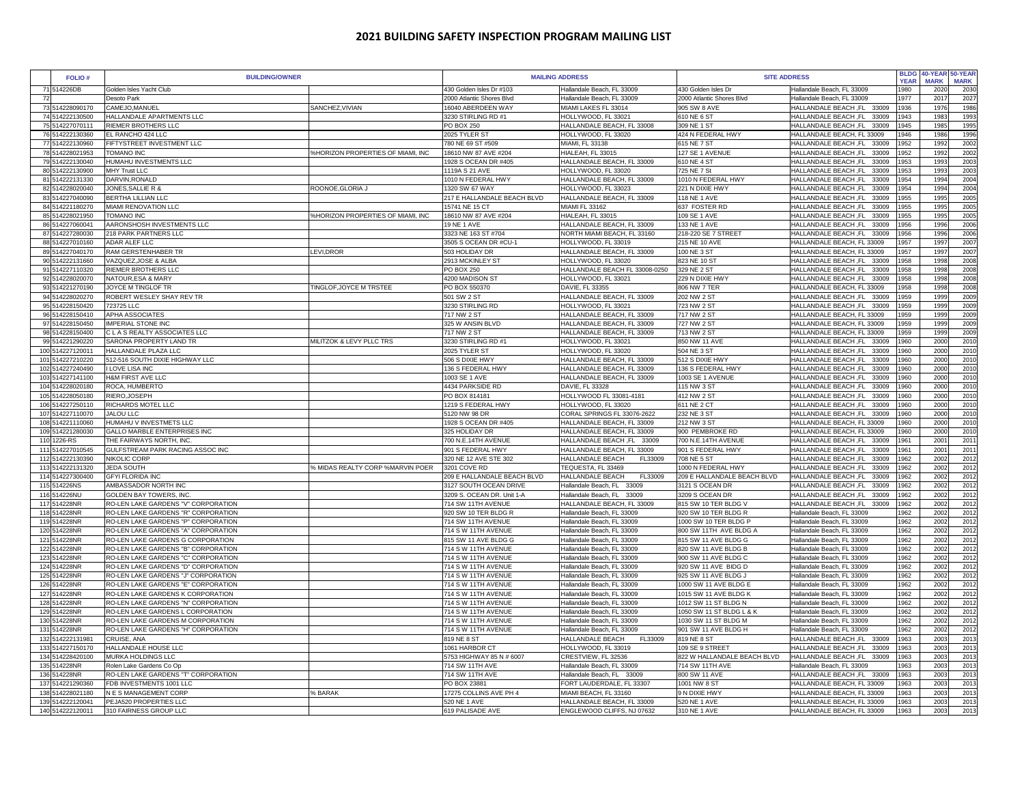| <b>FOLIO#</b>                        | <b>BUILDING/OWNER</b>                                                             |                                   |                                               | <b>MAILING ADDRESS</b>                                   | <b>SITE ADDRESS</b>                            |                                                                | <b>YEAR</b>  | BLDG 40-YEAR 50-YEAR<br><b>MARK</b> | <b>MARK</b>  |
|--------------------------------------|-----------------------------------------------------------------------------------|-----------------------------------|-----------------------------------------------|----------------------------------------------------------|------------------------------------------------|----------------------------------------------------------------|--------------|-------------------------------------|--------------|
| 71 514226DB                          | Golden Isles Yacht Club                                                           |                                   | 430 Golden Isles Dr #103                      | Hallandale Beach, FL 33009                               | 430 Golden Isles Dr                            | Hallandale Beach, FL 33009                                     | 1980         | 2020                                | 2030         |
|                                      | Desoto Park                                                                       |                                   | 2000 Atlantic Shores Blvd                     | Hallandale Beach, FL 33009                               | 2000 Atlantic Shores Blvd                      | Hallandale Beach, FL 33009                                     | 1977         | 2017                                | 2027         |
| 73514228090170                       | CAMEJO, MANUEL                                                                    | SANCHEZ, VIVIAN                   | 16040 ABERDEEN WAY                            | MIAMI LAKES FL 33014                                     | 905 SW 8 AVE                                   | 33009<br><b>HALLANDALE BEACH, FL</b>                           | 1936         | 1976                                | 1986         |
| 74 514222130500                      | <b>HALLANDALE APARTMENTS LLC</b>                                                  |                                   | 3230 STIRLING RD #1                           | HOLLYWOOD, FL 33021                                      | 610 NE 6 ST                                    | 33009<br>HALLANDALE BEACH, FL                                  | 1943         | 1983                                | 1993         |
| 75 514227070111                      | <b>RIEMER BROTHERS LLC</b>                                                        |                                   | PO BOX 250                                    | HALLANDALE BEACH, FL 33008                               | 309 NE 1 ST                                    | HALLANDALE BEACH, FL<br>33009                                  | 1945         | 1985                                | 1995         |
| 76 514222130360                      | <b>EL RANCHO 424 LLC</b>                                                          |                                   | 2025 TYLER ST                                 | HOLLYWOOD, FL 33020                                      | 424 N FEDERAL HWY                              | HALLANDALE BEACH, FL 33009                                     | 1946         | 1986                                | 1996         |
| 77 514222130960                      | <b>FIFTYSTREET INVESTMENT LLC</b>                                                 |                                   | 780 NE 69 ST #509                             | MIAMI, FL 33138                                          | 615 NE 7 ST                                    | HALLANDALE BEACH, FL 33009                                     | 1952         | 1992                                | 2002         |
| 78 514228021953                      | <b>TOMANO INC</b>                                                                 | %HORIZON PROPERTIES OF MIAMI, INC | 18610 NW 87 AVE #204                          | HIALEAH, FL 33015                                        | 127 SE 1 AVENUE                                | HALLANDALE BEACH, FL<br>33009                                  | 1952         | 1992                                | 2002         |
| 79514222130040                       | HUMAHU INVESTMENTS LLC                                                            |                                   | 1928 S OCEAN DR #405                          | HALLANDALE BEACH, FL 33009                               | 610 NE 4 ST                                    | HALLANDALE BEACH, FL<br>33009                                  | 1953         | 1993                                | 2003         |
| 80 514222130900                      | MHY Trust LLC                                                                     |                                   | 1119A S 21 AVE                                | HOLLYWOOD, FL 33020                                      | 725 NE 7 St                                    | <b>HALLANDALE BEACH, FL</b><br>33009                           | 1953         | 1993                                | 2003         |
| 81 514222131330                      | DARVIN, RONALD                                                                    |                                   | 1010 N FEDERAL HWY                            | HALLANDALE BEACH, FL 33009                               | 1010 N FEDERAL HWY                             | HALLANDALE BEACH, FL<br>33009                                  | 1954         | 1994                                | 2004         |
| 82 514228020040                      | JONES, SALLIE R &                                                                 | ROONOE, GLORIA J                  | 1320 SW 67 WAY                                | HOLLYWOOD, FL 33023                                      | 221 N DIXIE HWY                                | HALLANDALE BEACH, FL<br>33009                                  | 1954         | 1994                                | 2004         |
| 83514227040090<br>84 514221180270    | <b>BERTHA LILLIAN LLC</b><br>MIAMI RENOVATION LLC                                 |                                   | 217 E HALLANDALE BEACH BLVD<br>15741 NE 15 CT | HALLANDALE BEACH, FL 33009<br>MIAMI FL 33162             | 118 NE 1 AVE<br>637 FOSTER RD                  | HALLANDALE BEACH, FL<br>33009<br>HALLANDALE BEACH, FL<br>33009 | 955<br>1955  | 1995<br>1995                        | 2005<br>2005 |
| 85 514228021950                      | <b>TOMANO INC</b>                                                                 | %HORIZON PROPERTIES OF MIAMI, INC | 18610 NW 87 AVE #204                          | HIALEAH. FL 33015                                        | 109 SE 1 AVE                                   | <b>HALLANDALE BEACH, FL</b><br>33009                           | 1955         | 1995                                | 2005         |
| 86 514227060041                      | AARONSHOSH INVESTMENTS LLC                                                        |                                   | <b>19 NE 1 AVE</b>                            | HALLANDALE BEACH, FL 33009                               | 133 NE 1 AVE                                   | HALLANDALE BEACH, FL<br>33009                                  | 1956         | 1996                                | 2006         |
| 87 514227280030                      | 218 PARK PARTNERS LLC                                                             |                                   | 3323 NE 163 ST #704                           | NORTH MIAMI BEACH, FL 33160                              | 218-220 SE 7 STREET                            | HALLANDALE BEACH, FL<br>33009                                  | 956          | 1996                                | 2006         |
| 88 514227010160                      | <b>ADAR ALEF LLC</b>                                                              |                                   | 3505 S OCEAN DR #CU-1                         | HOLLYWOOD, FL 33019                                      | 215 NE 10 AVE                                  | HALLANDALE BEACH, FL 33009                                     | 1957         | 1997                                | 2007         |
| 89 514227040170                      | <b>RAM GERSTENHABER TR</b>                                                        | LEVI, DROR                        | 503 HOLIDAY DR                                | HALLANDALE BEACH, FL 33009                               | 100 NE 3 ST                                    | HALLANDALE BEACH, FL 33009                                     | 1957         | 1997                                | 2007         |
| 90 514222131660                      | VAZQUEZ, JOSE & ALBA                                                              |                                   | 2913 MCKINLEY ST                              | HOLLYWOOD, FL 33020                                      | 823 NE 10 ST                                   | HALLANDALE BEACH, FL<br>33009                                  | 1958         | 1998                                | 2008         |
| 91 514227110320                      | <b>RIEMER BROTHERS LLC</b>                                                        |                                   | PO BOX 250                                    | HALLANDALE BEACH FL 33008-0250                           | 329 NE 2 ST                                    | HALLANDALE BEACH, FL<br>33009                                  | 1958         | 1998                                | 2008         |
| 92 514228020070                      | NATOUR, ESA & MARY                                                                |                                   | 4200 MADISON ST                               | HOLLYWOOD, FL 33021                                      | 229 N DIXIE HWY                                | HALLANDALE BEACH, FL<br>33009                                  | 958          | 1998                                | 2008         |
| 93 514221270190                      | JOYCE M TINGLOF TR                                                                | TINGLOF, JOYCE M TRSTEE           | PO BOX 550370                                 | DAVIE, FL 33355                                          | 806 NW 7 TER                                   | HALLANDALE BEACH, FL 33009                                     | 958          | 1998                                | 2008         |
| 94 514228020270                      | <b>ROBERT WESLEY SHAY REV TR</b>                                                  |                                   | 501 SW 2 ST                                   | HALLANDALE BEACH, FL 33009                               | 202 NW 2 ST                                    | HALLANDALE BEACH, FL 33009                                     | 1959         | 1999                                | 2009         |
| 95 514228150420                      | 723725 LLC                                                                        |                                   | 3230 STIRLING RD                              | HOLLYWOOD, FL 33021                                      | 723 NW 2 ST                                    | HALLANDALE BEACH, FL<br>33009                                  | 959          | 1999                                | 2009         |
| 96 514228150410                      | <b>APHA ASSOCIATES</b>                                                            |                                   | 717 NW 2 ST                                   | HALLANDALE BEACH, FL 33009                               | 717 NW 2 ST                                    | HALLANDALE BEACH, FL 33009                                     | 1959         | 1999                                | 2009         |
| 97 514228150450                      | <b>IMPERIAL STONE INC</b>                                                         |                                   | 325 W ANSIN BLVD                              | HALLANDALE BEACH, FL 33009                               | 727 NW 2 ST                                    | HALLANDALE BEACH, FL 33009                                     | 1959         | 1999                                | 2009         |
| 98 514228150400                      | C L A S REALTY ASSOCIATES LLC                                                     |                                   | 717 NW 2 ST                                   | HALLANDALE BEACH, FL 33009                               | 713 NW 2 ST                                    | HALLANDALE BEACH, FL 33009                                     | 959          | 1999                                | 2009         |
| 99514221290220                       | <b>SARONA PROPERTY LAND TR</b>                                                    | MILITZOK & LEVY PLLC TRS          | 3230 STIRLING RD #1                           | HOLLYWOOD, FL 33021                                      | 850 NW 11 AVE                                  | HALLANDALE BEACH, FL 33009                                     | 960          | 2000                                | 2010         |
| 100 514227120011<br>101 514227210220 | HALLANDALE PLAZA LLC<br>512-516 SOUTH DIXIE HIGHWAY LLC                           |                                   | 2025 TYLER ST<br>506 S DIXIE HWY              | HOLLYWOOD, FL 33020<br>HALLANDALE BEACH, FL 33009        | 504 NE 3 ST<br>512 S DIXIE HWY                 | HALLANDALE BEACH, FL 33009<br>HALLANDALE BEACH, FL<br>33009    | 1960<br>1960 | 2000<br>2000                        | 2010<br>2010 |
| 102 514227240490                     | I LOVE LISA INC                                                                   |                                   | 136 S FEDERAL HWY                             | HALLANDALE BEACH, FL 33009                               | 136 S FEDERAL HWY                              | HALLANDALE BEACH, FL<br>33009                                  | 1960         | 2000                                | 2010         |
| 103 514227141100                     | <b>H&amp;M FIRST AVE LLC</b>                                                      |                                   | 1003 SE 1 AVE                                 | HALLANDALE BEACH, FL 33009                               | <b>1003 SE 1 AVENUE</b>                        | HALLANDALE BEACH, FL<br>33009                                  | 1960         | 2000                                | 2010         |
| 104 514228020180                     | ROCA, HUMBERTO                                                                    |                                   | 4434 PARKSIDE RD                              | DAVIE, FL 33328                                          | 115 NW 3 ST                                    | HALLANDALE BEACH, FL<br>33009                                  | 1960         | 2000                                | 2010         |
| 105 514228050180                     | RIERO, JOSEPH                                                                     |                                   | PO BOX 814181                                 | HOLLYWOOD FL 33081-4181                                  | 412 NW 2 ST                                    | HALLANDALE BEACH, FL<br>33009                                  | 1960         | 2000                                | 2010         |
| 106 514227250110                     | <b>RICHARDS MOTEL LLC</b>                                                         |                                   | 1219 S FEDERAL HWY                            | HOLLYWOOD, FL 33020                                      | 611 NE 2 CT                                    | HALLANDALE BEACH, FL<br>33009                                  | 1960         | 2000                                | 2010         |
| 107 514227110070                     | <b>JALOU LLC</b>                                                                  |                                   | 5120 NW 98 DR                                 | CORAL SPRINGS FL 33076-2622                              | 232 NE 3 ST                                    | HALLANDALE BEACH, FL 33009                                     | 1960         | 2000                                | 2010         |
| 108 514221110060                     | HUMAHU V INVESTMETS LLC                                                           |                                   | 1928 S OCEAN DR #405                          | HALLANDALE BEACH, FL 33009                               | 212 NW 3 ST                                    | HALLANDALE BEACH, FL 33009                                     | 1960         | 2000                                | 2010         |
| 109 514221280030                     | GALLO MARBLE ENTERPRISES INC                                                      |                                   | 325 HOLIDAY DR                                | HALLANDALE BEACH, FL 33009                               | 900 PEMBROKE RD                                | HALLANDALE BEACH, FL 33009                                     | 1960         | 2000                                | 2010         |
| 110 1226-RS                          | THE FAIRWAYS NORTH, INC.                                                          |                                   | 700 N.E.14TH AVENUE                           | HALLANDALE BEACH, FL 33009                               | 700 N.E.14TH AVENUE                            | HALLANDALE BEACH, FL 33009                                     | 1961         | 2001                                | 2011         |
| 111 514227010545                     | <b>GULFSTREAM PARK RACING ASSOC INC</b>                                           |                                   | 901 S FEDERAL HWY                             | HALLANDALE BEACH, FL 33009                               | 901 S FEDERAL HWY                              | HALLANDALE BEACH, FL<br>33009                                  | 1961         | 2001                                | 2011         |
| 112 514222130390                     | <b>NIKOLIC CORP</b>                                                               |                                   | 320 NE 12 AVE STE 302                         | <b>HALLANDALE BEACH</b><br>FL33009                       | 708 NE 5 ST                                    | HALLANDALE BEACH, FL<br>33009                                  | 1962         | 2002                                | 2012         |
| 113 514222131320                     | <b>JEDA SOUTH</b>                                                                 | % MIDAS REALTY CORP %MARVIN POER  | 3201 COVE RD                                  | TEQUESTA, FL 33469                                       | 1000 N FEDERAL HWY                             | HALLANDALE BEACH, FL 33009                                     | 1962         | 2002                                | 2012         |
| 114 514227300400                     | <b>GFYI FLORIDA INC</b>                                                           |                                   | 209 E HALLANDALE BEACH BLVD                   | FL33009<br><b>HALLANDALE BEACH</b>                       | 209 E HALLANDALE BEACH BLVD                    | HALLANDALE BEACH, FL<br>33009                                  | 1962         | 2002                                | 2012         |
| 115 514226NS                         | <b>AMBASSADOR NORTH INC</b>                                                       |                                   | 3127 SOUTH OCEAN DRIVE                        | Hallandale Beach, FL 33009                               | 3121 S OCEAN DR                                | HALLANDALE BEACH, FL 33009                                     | 1962         | 2002                                | 2012         |
| 116 514226NU                         | <b>GOLDEN BAY TOWERS, INC.</b>                                                    |                                   | 3209 S. OCEAN DR. Unit 1-A                    | Hallandale Beach, FL 33009                               | 3209 S OCEAN DR                                | HALLANDALE BEACH, FL<br>33009                                  | 1962         | 2002                                | 2012         |
| 117 514228NR                         | RO-LEN LAKE GARDENS "V" CORPORATION<br><b>RO-LEN LAKE GARDENS "R" CORPORATION</b> |                                   | 714 SW 11TH AVENUE<br>920 SW 10 TER BLDG R    | HALLANDALE BEACH, FL 33009<br>Hallandale Beach, FL 33009 | 815 SW 10 TER BLDG V<br>920 SW 10 TER BLDG R   | HALLANDALE BEACH, FL 33009                                     | 1962         | 2002                                | 2012         |
| 118 514228NR<br>119514228NR          | <b>RO-LEN LAKE GARDENS "P" CORPORATION</b>                                        |                                   | 714 SW 11TH AVENUE                            | Hallandale Beach, FL 33009                               | 1000 SW 10 TER BLDG P                          | Hallandale Beach, FL 33009<br>Hallandale Beach, FL 33009       | 1962<br>1962 | 2002<br>2002                        | 2012<br>2012 |
| 120 514228NR                         | RO-LEN LAKE GARDENS "A" CORPORATION                                               |                                   | 714 S W 11TH AVENUE                           | Hallandale Beach, FL 33009                               | 800 SW 11TH AVE BLDG A                         | Hallandale Beach, FL 33009                                     | 1962         | 2002                                | 2012         |
| 121 514228NR                         | <b>RO-LEN LAKE GARDENS G CORPORATION</b>                                          |                                   | 815 SW 11 AVE BLDG G                          | Hallandale Beach, FL 33009                               | 815 SW 11 AVE BLDG G                           | Hallandale Beach, FL 33009                                     | 1962         | 2002                                | 2012         |
| 122 514228NR                         | <b>RO-LEN LAKE GARDENS "B" CORPORATION</b>                                        |                                   | 714 S W 11TH AVENUE                           | Hallandale Beach, FL 33009                               | 820 SW 11 AVE BLDG B                           | Hallandale Beach, FL 33009                                     | 1962         | 2002                                | 2012         |
| 123 514228NR                         | RO-LEN LAKE GARDENS "C" CORPORATION                                               |                                   | 714 S W 11TH AVENUE                           | Hallandale Beach, FL 33009                               | 900 SW 11 AVE BLDG C                           | Hallandale Beach, FL 33009                                     | 1962         | 2002                                | 2012         |
| 124 514228NR                         | RO-LEN LAKE GARDENS "D" CORPORATION                                               |                                   | 714 S W 11TH AVENUE                           | Hallandale Beach, FL 33009                               | 920 SW 11 AVE BIDG D                           | Hallandale Beach, FL 33009                                     | 1962         | 2002                                | 2012         |
| 125 514228NR                         | <b>RO-LEN LAKE GARDENS "J" CORPORATION</b>                                        |                                   | 714 S W 11TH AVENUE                           | Hallandale Beach, FL 33009                               | 925 SW 11 AVE BLDG J                           | Hallandale Beach, FL 33009                                     | 1962         | 2002                                | 2012         |
| 126 514228NR                         | <b>RO-LEN LAKE GARDENS "E" CORPORATION</b>                                        |                                   | 714 S W 11TH AVENUE                           | Hallandale Beach, FL 33009                               | 1000 SW 11 AVE BLDG E                          | Hallandale Beach, FL 33009                                     | 1962         | 2002                                | 2012         |
| 127 514228NR                         | <b>RO-LEN LAKE GARDENS K CORPORATION</b>                                          |                                   | 714 S W 11TH AVENUE                           | Hallandale Beach, FL 33009                               | 1015 SW 11 AVE BLDG K                          | Hallandale Beach, FL 33009                                     | 1962         | 2002                                | 2012         |
| 128 514228NR                         | <b>RO-LEN LAKE GARDENS "N" CORPORATION</b>                                        |                                   | 714 S W 11TH AVENUE                           | Hallandale Beach, FL 33009                               | 1012 SW 11 ST BLDG N                           | Hallandale Beach, FL 33009                                     | 1962         | 2002                                | 2012         |
| 129 514228NR                         | RO-LEN LAKE GARDENS L CORPORATION                                                 |                                   | 714 S W 11TH AVENUE                           | Hallandale Beach, FL 33009                               | 1050 SW 11 ST BLDG L & K                       | Hallandale Beach, FL 33009                                     | 1962         | 2002                                | 2012         |
| 130 514228NR                         | <b>RO-LEN LAKE GARDENS M CORPORATION</b>                                          |                                   | 714 S W 11TH AVENUE                           | Hallandale Beach, FL 33009                               | 1030 SW 11 ST BLDG M                           | Hallandale Beach, FL 33009                                     | 1962         | 2002                                | 2012         |
| 131 514228NR                         | <b>RO-LEN LAKE GARDENS "H" CORPORATION</b>                                        |                                   | 714 S W 11TH AVENUE                           | Hallandale Beach, FL 33009                               | 901 SW 11 AVE BLDG H                           | Hallandale Beach, FL 33009                                     | 1962         | 2002                                | 2012         |
| 132 514222131981                     | CRUISE, ANA                                                                       |                                   | 819 NE 8 ST                                   | HALLANDALE BEACH<br>FL33009                              | 819 NE 8 ST                                    | HALLANDALE BEACH, FL 33009                                     | 1963         | 2003                                | 2013         |
| 133514227150170<br>134 514228420100  | HALLANDALE HOUSE LLC<br>MURKA HOLDINGS LLC                                        |                                   | 1061 HARBOR CT<br>5753 HIGHWAY 85 N # 6007    | HOLLYWOOD, FL 33019<br>CRESTVIEW, FL 32536               | 109 SE 9 STREET<br>822 W HALLANDALE BEACH BLVD | HALLANDALE BEACH, FL 33009<br>HALLANDALE BEACH, FL 33009       | 1963<br>1963 | 2003<br>2003                        | 2013         |
| 135 514228NR                         | Rolen Lake Gardens Co Op                                                          |                                   | 714 SW 11TH AVE                               | Hallandale Beach, FL 33009                               | 714 SW 11TH AVE                                | Hallandale Beach, FL 33009                                     | 1963         | 2003                                | 2013<br>2013 |
| 136 514228NR                         | RO-LEN LAKE GARDENS "T" CORPORATION                                               |                                   | 714 SW 11TH AVE                               | Hallandale Beach, FL 33009                               | 800 SW 11 AVE                                  | HALLANDALE BEACH, FL 33009                                     | 1963         | 2003                                | 2013         |
| 137 514221290360                     | FDB INVESTMENTS 1001 LLC                                                          |                                   | PO BOX 23881                                  | FORT LAUDERDALE, FL 33307                                | 1001 NW 8 ST                                   | HALLANDALE BEACH, FL 33009                                     | 1963         | 2003                                | 2013         |
| 138 514228021180                     | IN E S MANAGEMENT CORP                                                            | % BARAK                           | 17275 COLLINS AVE PH 4                        | MIAMI BEACH, FL 33160                                    | 9 N DIXIE HWY                                  | HALLANDALE BEACH, FL 33009                                     | 1963         | 2003                                | 2013         |
| 139 514222120041                     | <b>PEJA520 PROPERTIES LLC</b>                                                     |                                   | 520 NE 1 AVE                                  | HALLANDALE BEACH, FL 33009                               | 520 NE 1 AVE                                   | HALLANDALE BEACH, FL 33009                                     | 1963         | 2003                                | 2013         |
| 140 514222120011                     | 310 FAIRNESS GROUP LLC                                                            |                                   | 619 PALISADE AVE                              | ENGLEWOOD CLIFFS, NJ 07632                               | 310 NE 1 AVE                                   | HALLANDALE BEACH, FL 33009                                     | 1963         | 2003                                | 2013         |
|                                      |                                                                                   |                                   |                                               |                                                          |                                                |                                                                |              |                                     |              |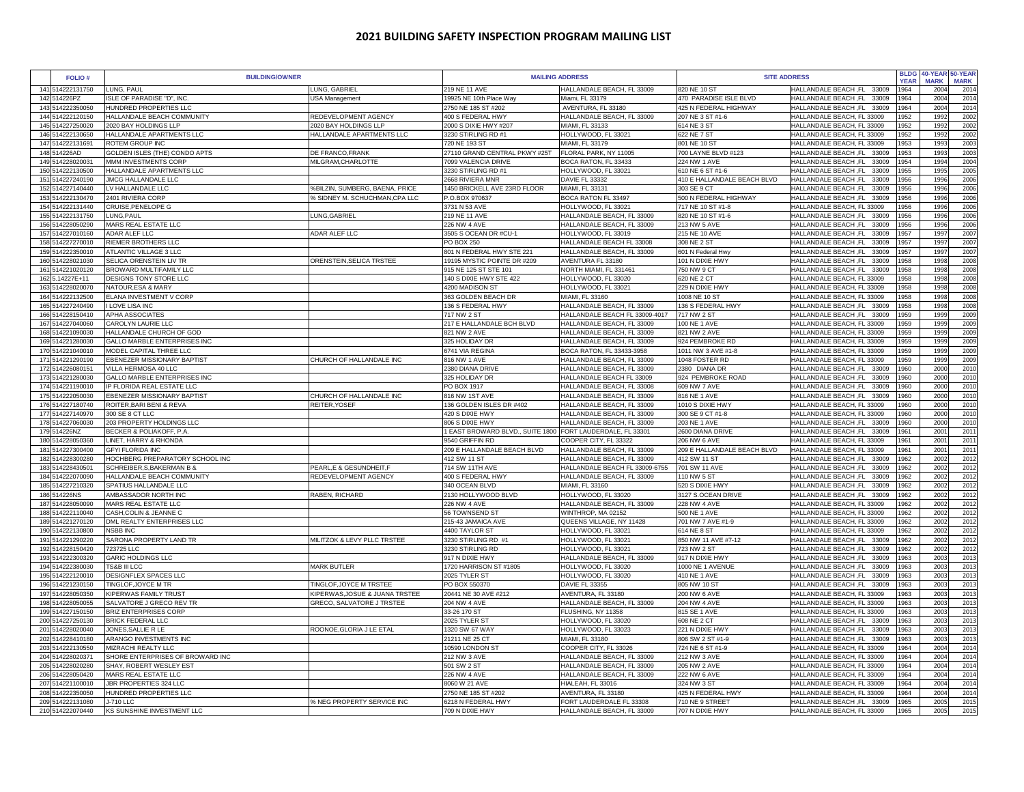| <b>FOLIO#</b>    | <b>BUILDING/OWNER</b>               |                                  |                                                            | <b>MAILING ADDRESS</b>           | <b>SITE ADDRESS</b>                |                                      |                     | BLDG 40-YEAR 50-YEAR |                     |
|------------------|-------------------------------------|----------------------------------|------------------------------------------------------------|----------------------------------|------------------------------------|--------------------------------------|---------------------|----------------------|---------------------|
| 141 514222131750 | LUNG, PAUL                          | LUNG, GABRIEL                    | 219 NE 11 AVE                                              | HALLANDALE BEACH, FL 33009       | 820 NE 10 ST                       | HALLANDALE BEACH, FL 33009           | <b>YEAR</b><br>1964 | <b>MARK</b><br>2004  | <b>MARK</b><br>2014 |
|                  |                                     |                                  |                                                            |                                  |                                    |                                      |                     |                      |                     |
| 142 514226PZ     | ISLE OF PARADISE "D", INC.          | <b>USA Management</b>            | 19925 NE 10th Place Way                                    | Miami, FL 33179                  | 470 PARADISE ISLE BLVD             | HALLANDALE BEACH, FL 33009           | 1964                | 2004                 | 2014                |
| 143 514222350050 | <b>HUNDRED PROPERTIES LLC</b>       |                                  | 2750 NE 185 ST #202                                        | AVENTURA, FL 33180               | 425 N FEDERAL HIGHWAY              | <b>HALLANDALE BEACH, FL</b><br>33009 | 1964                | 2004                 | 2014                |
| 144 514222120150 | <b>HALLANDALE BEACH COMMUNITY</b>   | REDEVELOPMENT AGENCY             | 400 S FEDERAL HWY                                          | HALLANDALE BEACH, FL 33009       | 207 NE 3 ST #1-6                   | HALLANDALE BEACH, FL 33009           | 1952                | 1992                 | 2002                |
| 145 514227250020 | 2020 BAY HOLDINGS LLP               | 2020 BAY HOLDINGS LLP            | 2000 S DIXIE HWY #207                                      | MIAMI, FL 33133                  | 614 NE 3 ST                        | HALLANDALE BEACH, FL 33009           | 952                 | 1992                 | 2002                |
| 146 514222130650 | <b>HALLANDALE APARTMENTS LLC</b>    | HALLANDALE APARTMENTS LLC        | 3230 STIRLING RD #1                                        | HOLLYWOOD, FL 33021              | 622 NE 7 ST                        | HALLANDALE BEACH, FL 33009           | 952                 | 1992                 | 2002                |
| 147 51422213169  | <b>ROTEM GROUP INC</b>              |                                  | 720 NE 193 ST                                              | MIAMI, FL 33179                  | 801 NE 10 ST                       | HALLANDALE BEACH, FL 33009           | 1953                | 1993                 | 2003                |
| 148 514226AD     | GOLDEN ISLES (THE) CONDO APTS       | DE FRANCO, FRANK                 | 27110 GRAND CENTRAL PKWY #25T                              | FLORAL PARK, NY 11005            | 700 LAYNE BLVD #123                | HALLANDALE BEACH, FL 33009           | 1953                | 1993                 | 2003                |
| 149 51422802003  | MMM INVESTMENTS CORP                | MILGRAM, CHARLOTTE               | 7099 VALENCIA DRIVE                                        | BOCA RATON, FL 33433             | <b>224 NW 1 AVE</b>                | HALLANDALE BEACH ,FL<br>33009        | 1954                | 1994                 | 2004                |
| 150 514222130500 | <b>HALLANDALE APARTMENTS LLC</b>    |                                  | 3230 STIRLING RD #1                                        | HOLLYWOOD, FL 33021              | 610 NE 6 ST #1-6                   | HALLANDALE BEACH, FL<br>33009        | 955                 | 1995                 | 2005                |
| 151 514227240190 | <b>JMCG HALLANDALE LLC</b>          |                                  | 2668 RIVIERA MNR                                           | <b>DAVIE FL 33332</b>            | 410 E HALLANDALE BEACH BLVD        | HALLANDALE BEACH, FL<br>33009        | 956                 | 1996                 | 2006                |
| 152 514227140440 | LV HALLANDALE LLC                   | %BILZIN, SUMBERG, BAENA, PRICE   | 1450 BRICKELL AVE 23RD FLOOR                               | <b>MIAMI, FL 33131</b>           | 303 SE 9 CT                        | HALLANDALE BEACH, FL<br>33009        | 1956                | 1996                 | 2006                |
| 153 514222130470 | 2401 RIVIERA CORP                   | % SIDNEY M. SCHUCHMAN, CPA LLC   | P.O.BOX 970637                                             | <b>BOCA RATON FL 33497</b>       | 500 N FEDERAL HIGHWAY              | HALLANDALE BEACH, FL<br>33009        | 956                 | 1996                 | 2006                |
|                  |                                     |                                  |                                                            |                                  |                                    |                                      |                     |                      |                     |
| 154 514222131440 | CRUISE, PENELOPE G                  |                                  | 3731 N 53 AVE                                              | HOLLYWOOD, FL 33021              | 717 NE 10 ST #1-8                  | HALLANDALE BEACH, FL 33009           | 1956                | 1996                 | 2006                |
| 155514222131750  | LUNG, PAUL                          | LUNG, GABRIEL                    | 219 NE 11 AVE                                              | HALLANDALE BEACH, FL 33009       | 820 NE 10 ST #1-6                  | HALLANDALE BEACH, FL<br>33009        | 1956                | 1996                 | 2006                |
| 156 514228050290 | <b>MARS REAL ESTATE LLC</b>         |                                  | 226 NW 4 AVE                                               | HALLANDALE BEACH, FL 33009       | <b>213 NW 5 AVE</b>                | HALLANDALE BEACH, FL<br>33009        | 1956                | 1996                 | 2006                |
| 157 514227010160 | <b>ADAR ALEF LLC</b>                | <b>ADAR ALEF LLC</b>             | 3505 S OCEAN DR #CU-1                                      | HOLLYWOOD, FL 33019              | 215 NE 10 AVE                      | HALLANDALE BEACH, FL<br>33009        | 1957                | 1997                 | 2007                |
| 158 514227270010 | <b>RIEMER BROTHERS LLC</b>          |                                  | <b>PO BOX 250</b>                                          | HALLANDALE BEACH FL 33008        | 308 NE 2 ST                        | HALLANDALE BEACH, FL<br>33009        | 1957                | 1997                 | 2007                |
| 159 514222350010 | <b>ATLANTIC VILLAGE 3 LLC</b>       |                                  | 801 N FEDERAL HWY STE 221                                  | HALLANDALE BEACH, FL 33009       | 601 N Federal Hwy                  | HALLANDALE BEACH, FL<br>33009        | 957                 | 1997                 | 2007                |
| 160 514228021030 | <b>SELICA ORENSTEIN LIV TR</b>      | ORENSTEIN, SELICA TRSTEE         | 19195 MYSTIC POINTE DR #209                                | AVENTURA FL 33180                | 101 N DIXIE HWY                    | HALLANDALE BEACH, FL<br>33009        | 1958                | 1998                 | 2008                |
| 161 514221020120 | <b>BROWARD MULTIFAMILY LLC</b>      |                                  | 915 NE 125 ST STE 101                                      | NORTH MIAMI, FL 331461           | 750 NW 9 CT                        | HALLANDALE BEACH, FL 33009           | 1958                | 1998                 | 2008                |
| 162 5.14227E+11  | <b>DESIGNS TONY STORE LLC</b>       |                                  | 140 S DIXIE HWY STE 422                                    | HOLLYWOOD, FL 33020              | 620 NE 2 CT                        | HALLANDALE BEACH, FL 33009           | 958                 | 1998                 | 2008                |
| 163 514228020070 | NATOUR,ESA & MARY                   |                                  | 4200 MADISON ST                                            | HOLLYWOOD, FL 33021              | 229 N DIXIE HWY                    | HALLANDALE BEACH, FL 33009           | 958                 | 1998                 | 2008                |
| 164 514222132500 | <b>ELANA INVESTMENT V CORP</b>      |                                  | 363 GOLDEN BEACH DR                                        | MIAMI, FL 33160                  | 1008 NE 10 ST                      | HALLANDALE BEACH, FL 33009           | 1958                | 1998                 | 2008                |
|                  |                                     |                                  |                                                            |                                  |                                    |                                      |                     |                      |                     |
| 165 514227240490 | <b>I LOVE LISA INC</b>              |                                  | 136 S FEDERAL HWY                                          | HALLANDALE BEACH, FL 33009       | 136 S FEDERAL HWY                  | HALLANDALE BEACH, FL 33009           | 958                 | 1998                 | 2008                |
| 166 514228150410 | <b>APHA ASSOCIATES</b>              |                                  | 717 NW 2 ST                                                | HALLANDALE BEACH FL 33009-4017   | 717 NW 2 ST                        | HALLANDALE BEACH, FL 33009           | 1959                | 1999                 | 2009                |
| 167 514227040060 | <b>CAROLYN LAURIE LLC</b>           |                                  | 217 E HALLANDALE BCH BLVD                                  | HALLANDALE BEACH, FL 33009       | 100 NE 1 AVE                       | HALLANDALE BEACH, FL 33009           | 1959                | 1999                 | 2009                |
| 168 514221090030 | <b>HALLANDALE CHURCH OF GOD</b>     |                                  | 821 NW 2 AVE                                               | HALLANDALE BEACH, FL 33009       | 821 NW 2 AVE                       | HALLANDALE BEACH, FL 33009           | 959                 | 1999                 | 2009                |
| 169 514221280030 | <b>GALLO MARBLE ENTERPRISES INC</b> |                                  | 325 HOLIDAY DR                                             | HALLANDALE BEACH, FL 33009       | 924 PEMBROKE RD                    | HALLANDALE BEACH, FL 33009           | 959                 | 1999                 | 2009                |
| 170514221040010  | MODEL CAPITAL THREE LLC             |                                  | 6741 VIA REGINA                                            | <b>BOCA RATON, FL 33433-3958</b> | 1011 NW 3 AVE #1-8                 | HALLANDALE BEACH, FL 33009           | 1959                | 1999                 | 2009                |
| 171 514221290190 | <b>EBENEZER MISSIONARY BAPTIST</b>  | CHURCH OF HALLANDALE INC         | 816 NW 1 AVE                                               | HALLANDALE BEACH, FL 33009       | 1048 FOSTER RD                     | HALLANDALE BEACH, FL 33009           | 1959                | 1999                 | 2009                |
| 172 514226080151 | VILLA HERMOSA 40 LLC                |                                  | 2380 DIANA DRIVE                                           | HALLANDALE BEACH, FL 33009       | 2380 DIANA DR                      | HALLANDALE BEACH, FL 33009           | 1960                | 2000                 | 2010                |
| 173 514221280030 | <b>GALLO MARBLE ENTERPRISES INC</b> |                                  | 325 HOLIDAY DR                                             | HALLANDALE BEACH FL 33009        | 924 PEMBROKE ROAD                  | HALLANDALE BEACH, FL 33009           | 1960                | 2000                 | 2010                |
| 174 514221190010 | IP FLORIDA REAL ESTATE LLC          |                                  | PO BOX 1917                                                | HALLANDALE BEACH, FL 33008       | 609 NW 7 AVE                       | HALLANDALE BEACH, FL 33009           | 1960                | 2000                 | 2010                |
| 175 514222050030 | <b>EBENEZER MISSIONARY BAPTIST</b>  | CHURCH OF HALLANDALE INC         | 816 NW 1ST AVE                                             | HALLANDALE BEACH, FL 33009       | 816 NE 1 AVE                       | HALLANDALE BEACH, FL 33009           | 1960                | 2000                 | 2010                |
|                  | <b>ROITER, BARI BENI &amp; REVA</b> | REITER, YOSEF                    | 136 GOLDEN ISLES DR #402                                   |                                  | 1010 S DIXIE HWY                   |                                      | 1960                |                      |                     |
| 176 514227180740 |                                     |                                  |                                                            | HALLANDALE BEACH, FL 33009       |                                    | HALLANDALE BEACH, FL 33009           |                     | 2000                 | 2010                |
| 177 514227140970 | 300 SE 8 CT LLC                     |                                  | 420 S DIXIE HWY                                            | HALLANDALE BEACH, FL 33009       | 300 SE 9 CT #1-8                   | HALLANDALE BEACH, FL 33009           | 1960                | 2000                 | 2010                |
| 178 514227060030 | 203 PROPERTY HOLDINGS LLC           |                                  | 806 S DIXIE HWY                                            | HALLANDALE BEACH, FL 33009       | 203 NE 1 AVE                       | HALLANDALE BEACH, FL 33009           | 1960                | 2000                 | 2010                |
| 179 514226NZ     | <b>BECKER &amp; POLIAKOFF, P.A.</b> |                                  | 1 EAST BROWARD BLVD., SUITE 1800 FORT LAUDERDALE, FL 33301 |                                  | 2600 DIANA DRIVE                   | HALLANDALE BEACH, FL 33009           | 1961                | 2001                 | 2011                |
| 180 514228050360 | LINET, HARRY & RHONDA               |                                  | 9540 GRIFFIN RD                                            | COOPER CITY, FL 33322            | 206 NW 6 AVE                       | HALLANDALE BEACH, FL 33009           | 1961                | 2001                 | 2011                |
| 181 514227300400 | <b>GFYI FLORIDA INC</b>             |                                  | 209 E HALLANDALE BEACH BLVD                                | HALLANDALE BEACH, FL 33009       | <b>209 E HALLANDALE BEACH BLVD</b> | HALLANDALE BEACH, FL 33009           | 1961                | 2001                 | 2011                |
| 182 514228300280 | HOCHBERG PREPARATORY SCHOOL INC     |                                  | 412 SW 11 ST                                               | HALLANDALE BEACH, FL 33009       | 412 SW 11 ST                       | HALLANDALE BEACH, FL 33009           | 1962                | 2002                 | 2012                |
| 183 51422843050  | SCHREIBER, S, BAKERMAN B &          | PEARL, E & GESUNDHEIT, F         | 714 SW 11TH AVE                                            | HALLANDALE BEACH FL 33009-6755   | 701 SW 11 AVE                      | HALLANDALE BEACH, FL 33009           | 1962                | 2002                 | 2012                |
| 184 514222070090 | <b>HALLANDALE BEACH COMMUNITY</b>   | REDEVELOPMENT AGENCY             | 400 S FEDERAL HWY                                          | HALLANDALE BEACH, FL 33009       | 110 NW 5 ST                        | HALLANDALE BEACH, FL 33009           | 1962                | 2002                 | 2012                |
| 185 514227210320 | <b>SPATIUS HALLANDALE LLC</b>       |                                  | 340 OCEAN BLVD                                             | MIAMI, FL 33160                  | 520 S DIXIE HWY                    | HALLANDALE BEACH, FL 33009           | 1962                | 2002                 | 2012                |
| 186 514226NS     | <b>AMBASSADOR NORTH INC</b>         | RABEN, RICHARD                   | 2130 HOLLYWOOD BLVD                                        | HOLLYWOOD, FL 33020              | 3127 S.OCEAN DRIVE                 | HALLANDALE BEACH, FL 33009           | 1962                | 2002                 | 2012                |
| 187 514228050090 | <b>MARS REAL ESTATE LLC</b>         |                                  | 226 NW 4 AVE                                               | HALLANDALE BEACH, FL 33009       | <b>228 NW 4 AVE</b>                | HALLANDALE BEACH, FL 33009           | 1962                | 2002                 | 2012                |
| 188 514222110040 | CASH, COLIN & JEANNE C              |                                  | 56 TOWNSEND ST                                             | WINTHROP, MA 02152               | 500 NE 1 AVE                       | HALLANDALE BEACH, FL 33009           | 1962                | 2002                 | 2012                |
|                  |                                     |                                  |                                                            |                                  |                                    |                                      |                     |                      |                     |
| 189 514221270120 | <b>DML REALTY ENTERPRISES LLC</b>   |                                  | 215-43 JAMAICA AVE                                         | QUEENS VILLAGE, NY 11428         | 701 NW 7 AVE #1-9                  | HALLANDALE BEACH, FL 33009           | 1962                | 2002                 | 2012                |
| 190 514222130800 | NSBB INC                            |                                  | 4400 TAYLOR ST                                             | HOLLYWOOD, FL 33021              | 614 NE 8 ST                        | HALLANDALE BEACH, FL 33009           | 1962                | 2002                 | 2012                |
| 191 514221290220 | <b>SARONA PROPERTY LAND TR</b>      | MILITZOK & LEVY PLLC TRSTEE      | 3230 STIRLING RD #1                                        | HOLLYWOOD, FL 33021              | 850 NW 11 AVE #7-12                | HALLANDALE BEACH, FL 33009           | 1962                | 2002                 | 2012                |
| 192 514228150420 | 723725 LLC                          |                                  | 3230 STIRLING RD                                           | HOLLYWOOD, FL 33021              | 723 NW 2 ST                        | HALLANDALE BEACH, FL 33009           | 1962                | 2002                 | 2012                |
| 193 514222300320 | <b>GARIC HOLDINGS LLC</b>           |                                  | 917 N DIXIE HWY                                            | HALLANDALE BEACH, FL 33009       | 917 N DIXIE HWY                    | HALLANDALE BEACH, FL 33009           | 1963                | 2003                 | 2013                |
| 194 514222380030 | <b>TS&amp;B III LCC</b>             | <b>MARK BUTLER</b>               | 1720 HARRISON ST #1805                                     | HOLLYWOOD, FL 33020              | 1000 NE 1 AVENUE                   | HALLANDALE BEACH, FL 33009           | 1963                | 2003                 | 2013                |
| 195 514222120010 | <b>DESIGNFLEX SPACES LLC</b>        |                                  | 2025 TYLER ST                                              | HOLLYWOOD, FL 33020              | 410 NE 1 AVE                       | HALLANDALE BEACH, FL 33009           | 1963                | 2003                 | 2013                |
| 196 514221230150 | TINGLOF, JOYCE M TR                 | TINGLOF, JOYCE M TRSTEE          | PO BOX 550370                                              | DAVIE FL 33355                   | 805 NW 10 ST                       | HALLANDALE BEACH, FL 33009           | 1963                | 2003                 | 2013                |
| 197 514228050350 | <b>KIPERWAS FAMILY TRUST</b>        | KIPERWAS, JOSUE & JUANA TRSTEE   | 20441 NE 30 AVE #212                                       | AVENTURA, FL 33180               | 200 NW 6 AVE                       | HALLANDALE BEACH, FL 33009           | 1963                | 2003                 | 2013                |
| 198 514228050055 | SALVATORE J GRECO REV TR            | <b>GRECO, SALVATORE J TRSTEE</b> | 204 NW 4 AVE                                               | HALLANDALE BEACH, FL 33009       | 204 NW 4 AVE                       | HALLANDALE BEACH, FL 33009           | 1963                | 2003                 | 2013                |
| 199 514227150150 | <b>BRIZ ENTERPRISES CORP</b>        |                                  | 33-26 170 ST                                               | FLUSHING, NY 11358               | 815 SE 1 AVE                       | HALLANDALE BEACH, FL 33009           | 1963                | 2003                 | 2013                |
| 200 514227250130 | <b>BRICK FEDERAL LLC</b>            |                                  | 2025 TYLER ST                                              | HOLLYWOOD, FL 33020              | 608 NE 2 CT                        | HALLANDALE BEACH, FL 33009           | 1963                | 2003                 | 2013                |
|                  |                                     |                                  |                                                            |                                  |                                    |                                      |                     |                      |                     |
| 201 514228020040 | JONES, SALLIE R LE                  | ROONOE, GLORIA J LE ETAL         | 1320 SW 67 WAY                                             | HOLLYWOOD, FL 33023              | 221 N DIXIE HWY                    | HALLANDALE BEACH, FL 33009           | 1963                | 2003                 | 2013                |
| 202 514228410180 | <b>ARANGO INVESTMENTS INC</b>       |                                  | 21211 NE 25 CT                                             | MIAMI, FL 33180                  | 806 SW 2 ST #1-9                   | HALLANDALE BEACH, FL 33009           | 1963                | 2003                 | 2013                |
| 203 514222130550 | MIZRACHI REALTY LLC                 |                                  | 10590 LONDON ST                                            | COOPER CITY, FL 33026            | 724 NE 6 ST #1-9                   | HALLANDALE BEACH, FL 33009           | 1964                | 2004                 | 2014                |
| 204 514228020371 | SHORE ENTERPRISES OF BROWARD INC    |                                  | 212 NW 3 AVE                                               | HALLANDALE BEACH, FL 33009       | 212 NW 3 AVE                       | HALLANDALE BEACH, FL 33009           | 1964                | 2004                 | 2014                |
| 205 514228020280 | SHAY, ROBERT WESLEY EST             |                                  | 501 SW 2 ST                                                | HALLANDALE BEACH, FL 33009       | 205 NW 2 AVE                       | HALLANDALE BEACH, FL 33009           | 1964                | 2004                 | 2014                |
| 206 514228050420 | MARS REAL ESTATE LLC                |                                  | 226 NW 4 AVE                                               | HALLANDALE BEACH, FL 33009       | 222 NW 6 AVE                       | HALLANDALE BEACH, FL 33009           | 1964                | 2004                 | 2014                |
| 207 514221100010 | JBR PROPERTIES 324 LLC              |                                  | 8060 W 21 AVE                                              | HIALEAH, FL 33016                | 324 NW 3 ST                        | HALLANDALE BEACH, FL 33009           | 1964                | 2004                 | 2014                |
| 208 514222350050 | HUNDRED PROPERTIES LLC              |                                  | 2750 NE 185 ST #202                                        | AVENTURA, FL 33180               | 425 N FEDERAL HWY                  | HALLANDALE BEACH, FL 33009           | 1964                | 2004                 | 2014                |
| 209 514222131080 | J-710 LLC                           | % NEG PROPERTY SERVICE INC       | 6218 N FEDERAL HWY                                         | <b>FORT LAUDERDALE FL 33308</b>  | 710 NE 9 STREET                    | HALLANDALE BEACH, FL 33009           | 1965                | 2005                 | 2015                |
| 210 514222070440 | KS SUNSHINE INVESTMENT LLC          |                                  | 709 N DIXIE HWY                                            | HALLANDALE BEACH, FL 33009       | 707 N DIXIE HWY                    | HALLANDALE BEACH, FL 33009           | 1965                | 2005                 | 2015                |
|                  |                                     |                                  |                                                            |                                  |                                    |                                      |                     |                      |                     |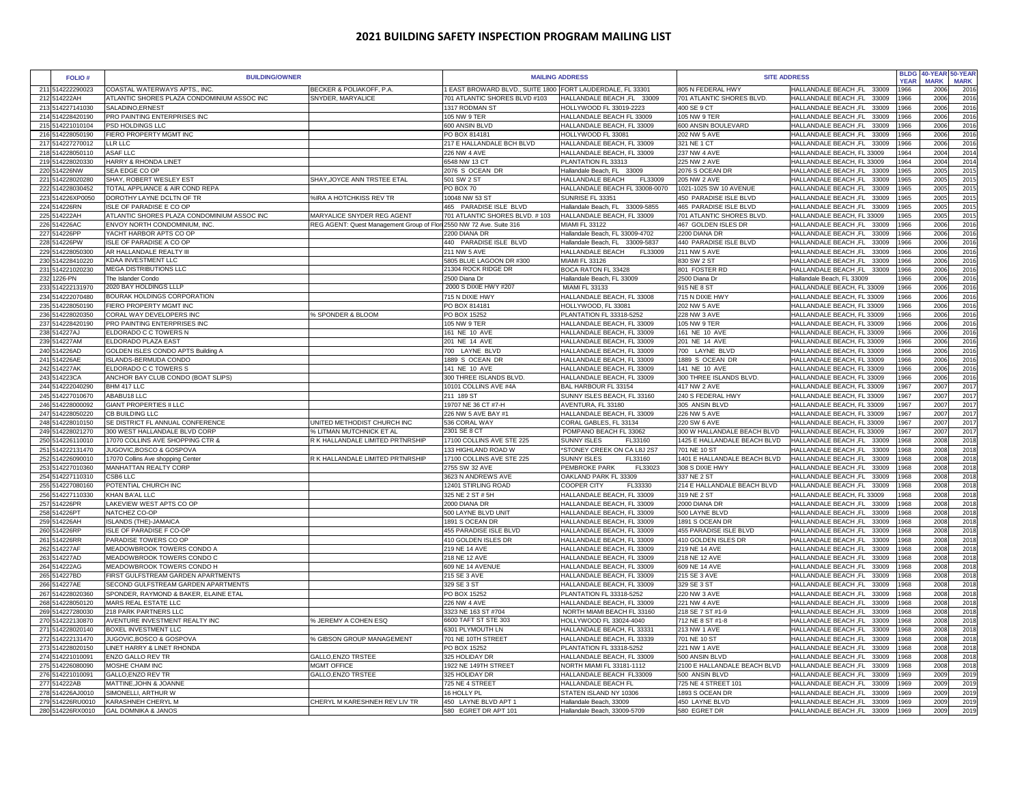| <b>FOLIO#</b>                        | <b>BUILDING/OWNER</b>                                                   |                                                                                                   |                                                            | <b>MAILING ADDRESS</b>                                           | <b>SITE ADDRESS</b>                              |                                                                |              | BLDG 40-YEAR 50-YEAR |              |
|--------------------------------------|-------------------------------------------------------------------------|---------------------------------------------------------------------------------------------------|------------------------------------------------------------|------------------------------------------------------------------|--------------------------------------------------|----------------------------------------------------------------|--------------|----------------------|--------------|
|                                      |                                                                         |                                                                                                   |                                                            |                                                                  |                                                  |                                                                | <b>YEAR</b>  | <b>MARK</b>          | <b>MARK</b>  |
| 211 51422229002                      | COASTAL WATERWAYS APTS., INC.                                           | <b>BECKER &amp; POLIAKOFF, P.A.</b>                                                               | 1 EAST BROWARD BLVD., SUITE 1800 FORT LAUDERDALE, FL 33301 |                                                                  | 805 N FEDERAL HWY                                | HALLANDALE BEACH, FL 33009                                     | 1966         | 2006                 | 2016         |
| 212 514222AH<br>213 514227141030     | ATLANTIC SHORES PLAZA CONDOMINIUM ASSOC INC<br>SALADINO, ERNEST         | <b>SNYDER, MARYALICE</b>                                                                          | 701 ATLANTIC SHORES BLVD #103<br>1317 RODMAN ST            | HALLANDALE BEACH, FL 33009<br>HOLLYWOOD FL 33019-2223            | 701 ATLANTIC SHORES BLVD.<br>400 SE 9 CT         | HALLANDALE BEACH, FL<br>33009<br>HALLANDALE BEACH, FL<br>33009 | 1966<br>1966 | 2006<br>2006         | 2016<br>2016 |
| 214 514228420190                     | <b>PRO PAINTING ENTERPRISES INC</b>                                     |                                                                                                   | 105 NW 9 TER                                               | HALLANDALE BEACH FL 33009                                        | 105 NW 9 TER                                     | HALLANDALE BEACH, FL 33009                                     | 1966         | 2006                 | 2016         |
| 215 514221010104                     | <b>PSD HOLDINGS LLC</b>                                                 |                                                                                                   | 600 ANSIN BLVD                                             | HALLANDALE BEACH, FL 33009                                       | 600 ANSIN BOULEVARD                              | HALLANDALE BEACH, FL<br>33009                                  | 1966         | 2006                 | 2016         |
| 216 514228050190                     | FIERO PROPERTY MGMT INC                                                 |                                                                                                   | PO BOX 814181                                              | HOLLYWOOD FL 33081                                               | 202 NW 5 AVE                                     | HALLANDALE BEACH, FL<br>33009                                  | 1966         | 2006                 | 2016         |
| 217 514227270012                     | LLR LLC                                                                 |                                                                                                   | 217 E HALLANDALE BCH BLVD                                  | HALLANDALE BEACH, FL 33009                                       | 321 NE 1 CT                                      | HALLANDALE BEACH, FL 33009                                     | 1966         | 2006                 | 2016         |
| 218 514228050110                     | <b>ASAF LLC</b>                                                         |                                                                                                   | 226 NW 4 AVE                                               | HALLANDALE BEACH, FL 33009                                       | <b>237 NW 4 AVE</b>                              | HALLANDALE BEACH, FL 33009                                     | 1964         | 2004                 | 2014         |
| 219 514228020330                     | <b>HARRY &amp; RHONDA LINET</b>                                         |                                                                                                   | 6548 NW 13 CT                                              | PLANTATION FL 33313                                              | 225 NW 2 AVE                                     | HALLANDALE BEACH, FL 33009                                     | 1964         | 2004                 | 2014         |
| 220 514226NW                         | <b>SEA EDGE CO OP</b>                                                   |                                                                                                   | 2076 S OCEAN DR                                            | Hallandale Beach, FL 33009                                       | 2076 S OCEAN DR                                  | HALLANDALE BEACH, FL 33009                                     | 1965         | 2005                 | 2015         |
| 221 514228020280                     | SHAY, ROBERT WESLEY EST                                                 | SHAY, JOYCE ANN TRSTEE ETAL                                                                       | 501 SW 2 ST                                                | FL33009<br><b>HALLANDALE BEACH</b>                               | 205 NW 2 AVE                                     | HALLANDALE BEACH, FL<br>33009                                  | 1965         | 2005                 | 2015         |
| 222 514228030452                     | TOTAL APPLIANCE & AIR COND REPA                                         |                                                                                                   | PO BOX 70                                                  | HALLANDALE BEACH FL 33008-0070                                   | 1021-1025 SW 10 AVENUE                           | HALLANDALE BEACH, FL<br>33009                                  | 1965         | 2005                 | 2015         |
| 223 514226XP0050                     | DOROTHY LAYNE DCLTN OF TR                                               | %IRA A HOTCHKISS REV TR                                                                           | 10048 NW 53 ST                                             | SUNRISE FL 33351                                                 | 450 PARADISE ISLE BLVD                           | HALLANDALE BEACH, FL 33009                                     | 1965         | 2005                 | 2015         |
| 224 514226RN                         | ISLE OF PARADISE E CO OP<br>ATLANTIC SHORES PLAZA CONDOMINIUM ASSOC INC |                                                                                                   | 465 PARADISE ISLE BLVD                                     | Hallandale Beach, FL 33009-5855                                  | 465 PARADISE ISLE BLVD                           | HALLANDALE BEACH, FL 33009                                     | 1965         | 2005                 | 2015         |
| 225 514222AH<br>226 514226AC         | ENVOY NORTH CONDOMINIUM, INC.                                           | MARYALICE SNYDER REG AGENT<br>REG AGENT: Quest Management Group of Flor 2550 NW 72 Ave. Suite 316 | 701 ATLANTIC SHORES BLVD. #103                             | HALLANDALE BEACH, FL 33009<br>MIAMI FL 33122                     | 701 ATLANTIC SHORES BLVD.<br>467 GOLDEN ISLES DR | HALLANDALE BEACH, FL 33009<br>HALLANDALE BEACH, FL 33009       | 1965<br>1966 | 2005<br>2006         | 2015<br>2016 |
| 227 514226PP                         | YACHT HARBOR APTS CO OP                                                 |                                                                                                   | 2200 DIANA DR                                              | Hallandale Beach, FL 33009-4702                                  | 2200 DIANA DR                                    | HALLANDALE BEACH, FL<br>33009                                  | 1966         | 2006                 | 2016         |
| 228 514226PW                         | <b>ISLE OF PARADISE A CO OP</b>                                         |                                                                                                   | 440 PARADISE ISLE BLVD                                     | Hallandale Beach, FL 33009-5837                                  | 440 PARADISE ISLE BLVD                           | HALLANDALE BEACH, FL 33009                                     | 1966         | 2006                 | 2016         |
| 229 514228050300                     | AR HALLANDALE REALTY III                                                |                                                                                                   | 211 NW 5 AVE                                               | <b>HALLANDALE BEACH</b><br>FL33009                               | 211 NW 5 AVE                                     | HALLANDALE BEACH, FL 33009                                     | 1966         | 2006                 | 2016         |
| 230 514228410220                     | KDAA INVESTMENT LLC                                                     |                                                                                                   | 5805 BLUE LAGOON DR #300                                   | MIAMI FL 33126                                                   | 830 SW 2 ST                                      | HALLANDALE BEACH, FL<br>33009                                  | 1966         | 2006                 | 2016         |
| 231 514221020230                     | <b>MEGA DISTRIBUTIONS LLC</b>                                           |                                                                                                   | 21304 ROCK RIDGE DR                                        | <b>BOCA RATON FL 33428</b>                                       | 801 FOSTER RD                                    | HALLANDALE BEACH, FL 33009                                     | 1966         | 2006                 | 2016         |
| 232 1226-PN                          | The Islander Condo                                                      |                                                                                                   | 2500 Diana Dr                                              | Hallandale Beach, FL 33009                                       | 2500 Diana Dr                                    | Hallandale Beach, FL 33009                                     | 1966         | 2006                 | 2016         |
| 233 514222131970                     | 2020 BAY HOLDINGS LLLP                                                  |                                                                                                   | 2000 S DIXIE HWY #207                                      | <b>MIAMI FL 33133</b>                                            | 915 NE 8 ST                                      | HALLANDALE BEACH, FL 33009                                     | 1966         | 2006                 | 2016         |
| 234 514222070480                     | <b>BOURAK HOLDINGS CORPORATION</b>                                      |                                                                                                   | 715 N DIXIE HWY                                            | HALLANDALE BEACH, FL 33008                                       | 715 N DIXIE HWY                                  | HALLANDALE BEACH, FL 33009                                     | 1966         | 2006                 | 2016         |
| 235 514228050190                     | <b>FIERO PROPERTY MGMT INC</b>                                          |                                                                                                   | PO BOX 814181                                              | HOLLYWOOD, FL 33081                                              | 202 NW 5 AVE                                     | HALLANDALE BEACH, FL 33009                                     | 1966         | 2006                 | 2016         |
| 236 514228020350                     | CORAL WAY DEVELOPERS INC                                                | % SPONDER & BLOOM                                                                                 | PO BOX 15252                                               | PLANTATION FL 33318-5252                                         | 228 NW 3 AVE                                     | HALLANDALE BEACH, FL 33009                                     | 1966         | 2006                 | 2016         |
| 237 514228420190                     | <b>PRO PAINTING ENTERPRISES INC</b>                                     |                                                                                                   | 105 NW 9 TER                                               | HALLANDALE BEACH, FL 33009                                       | 105 NW 9 TER                                     | HALLANDALE BEACH, FL 33009                                     | 1966         | 2006                 | 2016         |
| 238 514227AJ                         | ELDORADO C C TOWERS N                                                   |                                                                                                   | 161 NE 10 AVE                                              | HALLANDALE BEACH, FL 33009                                       | 161 NE 10 AVE                                    | HALLANDALE BEACH, FL 33009                                     | 1966         | 2006                 | 2016         |
| 239 514227AM<br>240 514226AD         | <b>IELDORADO PLAZA EAST</b>                                             |                                                                                                   | 201 NE 14 AVE<br>700 LAYNE BLVD                            | HALLANDALE BEACH, FL 33009<br>HALLANDALE BEACH, FL 33009         | 201 NE 14 AVE<br>700 LAYNE BLVD                  | HALLANDALE BEACH, FL 33009<br>HALLANDALE BEACH, FL 33009       | 966<br>1966  | 2006<br>2006         | 2016         |
| 241 514226AE                         | GOLDEN ISLES CONDO APTS Building A<br><b>ISLANDS-BERMUDA CONDO</b>      |                                                                                                   | 1889 S OCEAN DR                                            | HALLANDALE BEACH, FL 33009                                       | 1889 S OCEAN DR                                  | HALLANDALE BEACH, FL 33009                                     | 1966         | 2006                 | 2016<br>2016 |
| 242 514227AK                         | ELDORADO C C TOWERS S                                                   |                                                                                                   | 141 NE 10 AVE                                              | HALLANDALE BEACH, FL 33009                                       | 141 NE 10 AVE                                    | HALLANDALE BEACH, FL 33009                                     | 1966         | 2006                 | 2016         |
| 243 514223CA                         | ANCHOR BAY CLUB CONDO (BOAT SLIPS)                                      |                                                                                                   | 300 THREE ISLANDS BLVD.                                    | HALLANDALE BEACH, FL 33009                                       | 300 THREE ISLANDS BLVD.                          | HALLANDALE BEACH, FL 33009                                     | 1966         | 2006                 | 2016         |
| 244 514222040290                     | BHM 417 LLC                                                             |                                                                                                   | 10101 COLLINS AVE #4A                                      | <b>BAL HARBOUR FL 33154</b>                                      | 417 NW 2 AVE                                     | HALLANDALE BEACH, FL 33009                                     | 1967         | 2007                 | 2017         |
| 245 514227010670                     | ABABU18 LLC                                                             |                                                                                                   | 211 189 ST                                                 | SUNNY ISLES BEACH, FL 33160                                      | 240 S FEDERAL HWY                                | HALLANDALE BEACH, FL 33009                                     | 1967         | 2007                 | 2017         |
| 246 514228000092                     | <b>GIANT PROPERTIES II LLC</b>                                          |                                                                                                   | 19707 NE 36 CT #7-H                                        | AVENTURA, FL 33180                                               | 305 ANSIN BLVD                                   | HALLANDALE BEACH, FL 33009                                     | 1967         | 2007                 | 2017         |
| 247 514228050220                     | CB BUILDING LLC                                                         |                                                                                                   | 226 NW 5 AVE BAY #1                                        | HALLANDALE BEACH, FL 33009                                       | <b>226 NW 5 AVE</b>                              | HALLANDALE BEACH, FL 33009                                     | 1967         | 2007                 | 2017         |
| 248 514228010150                     | <b>SE DISTRICT FL ANNUAL CONFERENCE</b>                                 | UNITED METHODIST CHURCH INC                                                                       | 536 CORAL WAY                                              | CORAL GABLES, FL 33134                                           | 220 SW 6 AVE                                     | HALLANDALE BEACH, FL 33009                                     | 1967         | 2007                 | 2017         |
| 249 514228021270                     | 300 WEST HALLANDALE BLVD CORP                                           | % LITMAN MUTCHNICK ET AL                                                                          | 2301 SE 8 CT                                               | POMPANO BEACH FL 33062                                           | 300 W HALLANDALE BEACH BLVD                      | HALLANDALE BEACH, FL 33009                                     | 1967         | 2007                 | 2017         |
| 250 514226110010                     | 17070 COLLINS AVE SHOPPING CTR &                                        | R K HALLANDALE LIMITED PRTNRSHIP                                                                  | 17100 COLLINS AVE STE 225                                  | <b>SUNNY ISLES</b><br>FL33160                                    | 1425 E HALLANDALE BEACH BLVD                     | HALLANDALE BEACH, FL 33009                                     | 1968         | 2008                 | 2018         |
| 251 514222131470                     | JUGOVIC, BOSCO & GOSPOVA                                                |                                                                                                   | 133 HIGHLAND ROAD W                                        | *STONEY CREEK ON CA L8J 2S7                                      | 701 NE 10 ST                                     | HALLANDALE BEACH ,FL<br>33009                                  | 1968         | 2008                 | 2018         |
| 252 514226090010<br>253 514227010360 | 17070 Collins Ave shopping Center<br>MANHATTAN REALTY CORP              | R K HALLANDALE LIMITED PRTNRSHIP                                                                  | 17100 COLLINS AVE STE 225<br>2755 SW 32 AVE                | <b>SUNNY ISLES</b><br>FL33160<br><b>PEMBROKE PARK</b><br>FL33023 | 1401 E HALLANDALE BEACH BLVD<br>308 S DIXIE HWY  | HALLANDALE BEACH, FL<br>33009<br>HALLANDALE BEACH, FL 33009    | 1968<br>1968 | 2008<br>2008         | 2018<br>2018 |
| 254 514227110310                     | CSB6 LLC                                                                |                                                                                                   | 3623 N ANDREWS AVE                                         | OAKLAND PARK FL 33309                                            | 337 NE 2 ST                                      | HALLANDALE BEACH, FL 33009                                     | 1968         | 2008                 | 2018         |
| 255 514227080160                     | POTENTIAL CHURCH INC                                                    |                                                                                                   | 12401 STIRLING ROAD                                        | COOPER CITY<br>FL33330                                           | 214 E HALLANDALE BEACH BLVD                      | HALLANDALE BEACH, FL 33009                                     | 1968         | 2008                 | 2018         |
| 256 514227110330                     | KHAN BA'AL LLC                                                          |                                                                                                   | 325 NE 2 ST # 5H                                           | HALLANDALE BEACH, FL 33009                                       | 319 NE 2 ST                                      | HALLANDALE BEACH, FL 33009                                     | 1968         | 2008                 | 2018         |
| 257 514226PR                         | LAKEVIEW WEST APTS CO OP                                                |                                                                                                   | 2000 DIANA DR                                              | HALLANDALE BEACH, FL 33009                                       | 2000 DIANA DR                                    | HALLANDALE BEACH, FL 33009                                     | 1968         | 2008                 | 2018         |
| 258 514226PT                         | NATCHEZ CO-OP                                                           |                                                                                                   | 500 LAYNE BLVD UNIT                                        | HALLANDALE BEACH, FL 33009                                       | 500 LAYNE BLVD                                   | HALLANDALE BEACH, FL 33009                                     | 1968         | 2008                 | 2018         |
| 259 514226AH                         | <b>ISLANDS (THE)-JAMAICA</b>                                            |                                                                                                   | 1891 S OCEAN DR                                            | HALLANDALE BEACH, FL 33009                                       | 1891 S OCEAN DR                                  | HALLANDALE BEACH, FL<br>33009                                  | 1968         | 2008                 | 2018         |
| 260 514226RP                         | ISLE OF PARADISE F CO-OP                                                |                                                                                                   | 455 PARADISE ISLE BLVD                                     | HALLANDALE BEACH, FL 33009                                       | 455 PARADISE ISLE BLVD                           | HALLANDALE BEACH, FL 33009                                     | 1968         | 2008                 | 2018         |
| 261 514226RR                         | <b>PARADISE TOWERS CO OP</b>                                            |                                                                                                   | 410 GOLDEN ISLES DR                                        | HALLANDALE BEACH, FL 33009                                       | 410 GOLDEN ISLES DR                              | HALLANDALE BEACH, FL<br>33009                                  | 1968         | 2008                 | 2018         |
| 262 514227AF                         | MEADOWBROOK TOWERS CONDO A                                              |                                                                                                   | 219 NE 14 AVE                                              | HALLANDALE BEACH, FL 33009                                       | 219 NE 14 AVE                                    | HALLANDALE BEACH, FL 33009                                     | 1968         | 2008                 | 2018         |
| 263 514227AD                         | MEADOWBROOK TOWERS CONDO C                                              |                                                                                                   | 218 NE 12 AVE                                              | HALLANDALE BEACH, FL 33009                                       | 218 NE 12 AVE<br>609 NE 14 AVE                   | HALLANDALE BEACH, FL<br>33009                                  | 1968         | 2008<br>2008         | 2018         |
| 264 514222AG<br>265 514227BD         | MEADOWBROOK TOWERS CONDO H<br>FIRST GULFSTREAM GARDEN APARTMENTS        |                                                                                                   | 609 NE 14 AVENUE<br>215 SE 3 AVE                           | HALLANDALE BEACH, FL 33009<br>HALLANDALE BEACH, FL 33009         | 215 SE 3 AVE                                     | 33009<br>HALLANDALE BEACH, FL<br>HALLANDALE BEACH, FL 33009    | 1968<br>1968 | 2008                 | 2018<br>2018 |
| 266 514227AE                         | SECOND GULFSTREAM GARDEN APARTMENTS                                     |                                                                                                   | 329 SE 3 ST                                                | HALLANDALE BEACH, FL 33009                                       | 329 SE 3 ST                                      | HALLANDALE BEACH, FL<br>33009                                  | 1968         | 2008                 | 2018         |
| 267 514228020360                     | SPONDER, RAYMOND & BAKER, ELAINE ETAL                                   |                                                                                                   | PO BOX 15252                                               | PLANTATION FL 33318-5252                                         | 220 NW 3 AVE                                     | HALLANDALE BEACH, FL 33009                                     | 1968         | 2008                 | 2018         |
| 268 514228050120                     | MARS REAL ESTATE LLC                                                    |                                                                                                   | 226 NW 4 AVE                                               | HALLANDALE BEACH, FL 33009                                       | 221 NW 4 AVE                                     | HALLANDALE BEACH, FL<br>33009                                  | 1968         | 2008                 | 2018         |
| 269 514227280030                     | 218 PARK PARTNERS LLC                                                   |                                                                                                   | 3323 NE 163 ST #704                                        | NORTH MIAMI BEACH FL 33160                                       | 218 SE 7 ST #1-9                                 | HALLANDALE BEACH, FL 33009                                     | 1968         | 2008                 | 2018         |
| 270 514222130870                     | <b>AVENTURE INVESTMENT REALTY INC</b>                                   | % JEREMY A COHEN ESQ                                                                              | 6600 TAFT ST STE 303                                       | HOLLYWOOD FL 33024-4040                                          | 712 NE 8 ST #1-8                                 | HALLANDALE BEACH, FL 33009                                     | 1968         | 2008                 | 2018         |
| 271 514228020140                     | <b>BOXEL INVESTMENT LLC</b>                                             |                                                                                                   | 6301 PLYMOUTH LN                                           | HALLANDALE BEACH, FL 33331                                       | 213 NW 1 AVE                                     | HALLANDALE BEACH, FL 33009                                     | 1968         | 2008                 | 2018         |
| 272 514222131470                     | JUGOVIC, BOSCO & GOSPOVA                                                | % GIBSON GROUP MANAGEMENT                                                                         | 701 NE 10TH STREET                                         | HALLANDALE BEACH, FL 33339                                       | 701 NE 10 ST                                     | HALLANDALE BEACH, FL 33009                                     | 1968         | 2008                 | 2018         |
| 273 514228020150                     | LINET HARRY & LINET RHONDA                                              |                                                                                                   | PO BOX 15252                                               | PLANTATION FL 33318-5252                                         | 221 NW 1 AVE                                     | HALLANDALE BEACH, FL 33009                                     | 1968         | 2008                 | 2018         |
| 274 514221010091                     | <b>ENZO GALLO REV TR</b>                                                | <b>GALLO, ENZO TRSTEE</b>                                                                         | 325 HOLIDAY DR                                             | HALLANDALE BEACH, FL 33009                                       | 500 ANSIN BLVD                                   | HALLANDALE BEACH, FL 33009                                     | 1968         | 2008                 | 2018         |
| 275 514226080090                     | MOSHE CHAIM INC                                                         | <b>MGMT OFFICE</b>                                                                                | 1922 NE 149TH STREET                                       | NORTH MIAMI FL 33181-1112                                        | 2100 E HALLANDALE BEACH BLVD                     | HALLANDALE BEACH, FL 33009                                     | 1968         | 2008                 | 2018         |
| 276 514221010091<br>277 514222AB     | GALLO, ENZO REV TR<br>MATTINE, JOHN & JOANNE                            | GALLO, ENZO TRSTEE                                                                                | 325 HOLIDAY DR<br>725 NE 4 STREET                          | HALLANDALE BEACH FL33009<br><b>HALLANDALE BEACH FL</b>           | 500 ANSIN BLVD<br>725 NE 4 STREET 101            | HALLANDALE BEACH, FL 33009<br>HALLANDALE BEACH, FL 33009       | 1969<br>1969 | 2009<br>2009         | 2019<br>2019 |
| 278 514226AJ0010                     | SIMONELLI, ARTHUR W                                                     |                                                                                                   | 16 HOLLY PL                                                | STATEN ISLAND NY 10306                                           | 1893 S OCEAN DR                                  | HALLANDALE BEACH, FL 33009                                     | 1969         | 2009                 | 2019         |
| 279514226RU0010                      | <b>KARASHNEH CHERYL M</b>                                               | CHERYL M KARESHNEH REV LIV TR                                                                     | 450 LAYNE BLVD APT 1                                       | Hallandale Beach, 33009                                          | 450 LAYNE BLVD                                   | HALLANDALE BEACH, FL 33009                                     | 1969         | 2009                 | 2019         |
| 280 514226RX0010                     | <b>GAL DOMNIKA &amp; JANOS</b>                                          |                                                                                                   | 580 EGRET DR APT 101                                       | Hallandale Beach, 33009-5709                                     | 580 EGRET DR                                     | HALLANDALE BEACH, FL 33009                                     | 1969         | 2009                 | 2019         |
|                                      |                                                                         |                                                                                                   |                                                            |                                                                  |                                                  |                                                                |              |                      |              |